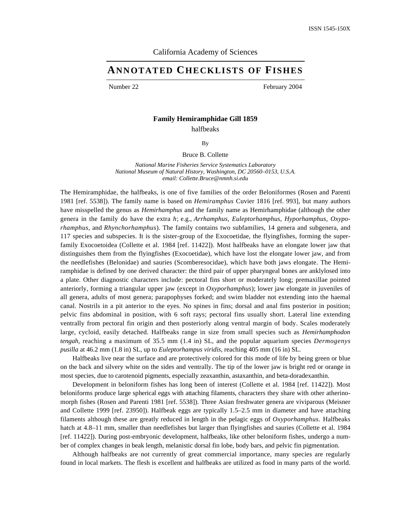# California Academy of Sciences

# **ANNOTATED CHECKLISTS OF FISHES**

Number 22 February 2004

# **Family Hemiramphidae Gill 1859**

halfbeaks

By

Bruce B. Collette

*National Marine Fisheries Service Systematics Laboratory National Museum of Natural History, Washington, DC 20560–0153, U.S.A. email: Collette.Bruce@nmnh.si.edu*

The Hemiramphidae, the halfbeaks, is one of five families of the order Beloniformes (Rosen and Parenti 1981 [ref. 5538]). The family name is based on *Hemiramphus* Cuvier 1816 [ref. 993], but many authors have misspelled the genus as *Hemirhamphus* and the family name as Hemirhamphidae (although the other genera in the family do have the extra *h*; e.g., *Arrhamphus, Euleptorhamphus, Hyporhamphus, Oxyporhamphus,* and *Rhynchorhamphus*). The family contains two subfamilies, 14 genera and subgenera, and 117 species and subspecies. It is the sister-group of the Exocoetidae, the flyingfishes, forming the superfamily Exocoetoidea (Collette et al. 1984 [ref. 11422]). Most halfbeaks have an elongate lower jaw that distinguishes them from the flyingfishes (Exocoetidae), which have lost the elongate lower jaw, and from the needlefishes (Belonidae) and sauries (Scomberesocidae), which have both jaws elongate. The Hemiramphidae is defined by one derived character: the third pair of upper pharyngeal bones are anklylosed into a plate. Other diagnostic characters include: pectoral fins short or moderately long; premaxillae pointed anteriorly, forming a triangular upper jaw (except in *Oxyporhamphus*); lower jaw elongate in juveniles of all genera, adults of most genera; parapophyses forked; and swim bladder not extending into the haemal canal. Nostrils in a pit anterior to the eyes. No spines in fins; dorsal and anal fins posterior in position; pelvic fins abdominal in position, with 6 soft rays; pectoral fins usually short. Lateral line extending ventrally from pectoral fin origin and then posteriorly along ventral margin of body. Scales moderately large, cycloid, easily detached. Halfbeaks range in size from small species such as *Hemirhamphodon tengah,* reaching a maximum of 35.5 mm (1.4 in) SL, and the popular aquarium species *Dermogenys pusilla* at 46.2 mm (1.8 in) SL, up to *Euleptorhampus viridis,* reaching 405 mm (16 in) SL.

Halfbeaks live near the surface and are protectively colored for this mode of life by being green or blue on the back and silvery white on the sides and ventrally. The tip of the lower jaw is bright red or orange in most species, due to carotenoid pigments, especially zeaxanthin, astaxanthin, and beta-doradexanthin.

Development in beloniform fishes has long been of interest (Collette et al. 1984 [ref. 11422]). Most beloniforms produce large spherical eggs with attaching filaments, characters they share with other atherinomorph fishes (Rosen and Parenti 1981 [ref. 5538]). Three Asian freshwater genera are viviparous (Meisner and Collette 1999 [ref. 23950]). Halfbeak eggs are typically 1.5–2.5 mm in diameter and have attaching filaments although these are greatly reduced in length in the pelagic eggs of *Oxyporhamphus.* Halfbeaks hatch at 4.8–11 mm, smaller than needlefishes but larger than flyingfishes and sauries (Collette et al. 1984) [ref. 11422]). During post-embryonic development, halfbeaks, like other beloniform fishes, undergo a number of complex changes in beak length, melanistic dorsal fin lobe, body bars, and pelvic fin pigmentation.

Although halfbeaks are not currently of great commercial importance, many species are regularly found in local markets. The flesh is excellent and halfbeaks are utilized as food in many parts of the world.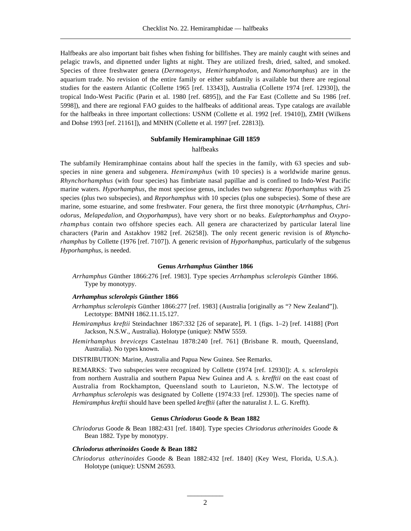Halfbeaks are also important bait fishes when fishing for billfishes. They are mainly caught with seines and pelagic trawls, and dipnetted under lights at night. They are utilized fresh, dried, salted, and smoked. Species of three freshwater genera (*Dermogenys, Hemirhamphodon,* and *Nomorhamphus*) are in the aquarium trade. No revision of the entire family or either subfamily is available but there are regional studies for the eastern Atlantic (Collette 1965 [ref. 13343]), Australia (Collette 1974 [ref. 12930]), the tropical Indo-West Pacific (Parin et al. 1980 [ref. 6895]), and the Far East (Collette and Su 1986 [ref. 5998]), and there are regional FAO guides to the halfbeaks of additional areas. Type catalogs are available for the halfbeaks in three important collections: USNM (Collette et al. 1992 [ref. 19410]), ZMH (Wilkens and Dohse 1993 [ref. 21161]), and MNHN (Collette et al. 1997 [ref. 22813]).

### **Subfamily Hemiramphinae Gill 1859**

# halfbeaks

The subfamily Hemiramphinae contains about half the species in the family, with 63 species and subspecies in nine genera and subgenera. *Hemiramphus* (with 10 species) is a worldwide marine genus. *Rhynchorhamphus* (with four species) has fimbriate nasal papillae and is confined to Indo-West Pacific marine waters. *Hyporhamphus,* the most speciose genus, includes two subgenera: *Hyporhamphus* with 25 species (plus two subspecies), and *Reporhamphus* with 10 species (plus one subspecies). Some of these are marine, some estuarine, and some freshwater. Four genera, the first three monotypic (*Arrhamphus, Chriodorus, Melapedalion,* and *Oxyporhampus*), have very short or no beaks. *Euleptorhamphus* and *Oxyporhamphus* contain two offshore species each. All genera are characterized by particular lateral line characters (Parin and Astakhov 1982 [ref. 26258]). The only recent generic revision is of *Rhynchorhamphus* by Collette (1976 [ref. 7107]). A generic revision of *Hyporhamphus,* particularly of the subgenus *Hyporhamphus,* is needed.

# **Genus** *Arrhamphus* **Günther 1866**

*Arrhamphus* Günther 1866:276 [ref. 1983]. Type species *Arrhamphus sclerolepis* Günther 1866. Type by monotypy.

# *Arrhamphus sclerolepis* **Günther 1866**

- *Arrhamphus sclerolepis* Günther 1866:277 [ref. 1983] (Australia [originally as "? New Zealand"]). Lectotype: BMNH 1862.11.15.127.
- *Hemiramphus kreftii* Steindachner 1867:332 [26 of separate], Pl. 1 (figs. 1–2) [ref. 14188] (Port Jackson, N.S.W., Australia). Holotype (unique): NMW 5559.
- *Hemirhamphus breviceps* Castelnau 1878:240 [ref. 761] (Brisbane R. mouth, Queensland, Australia). No types known.

DISTRIBUTION: Marine, Australia and Papua New Guinea. See Remarks.

REMARKS: Two subspecies were recognized by Collette (1974 [ref. 12930]): *A. s. sclerolepis* from northern Australia and southern Papua New Guinea and *A. s. krefftii* on the east coast of Australia from Rockhampton, Queensland south to Laurieton, N.S.W. The lectotype of *Arrhamphus sclerolepis* was designated by Collette (1974:33 [ref. 12930]). The species name of *Hemiramphus kreftii* should have been spelled *krefftii* (after the naturalist J. L. G. Krefft).

# **Genus** *Chriodorus* **Goode & Bean 1882**

*Chriodorus* Goode & Bean 1882:431 [ref. 1840]. Type species *Chriodorus atherinoides* Goode & Bean 1882. Type by monotypy.

# *Chriodorus atherinoides* **Goode & Bean 1882**

*Chriodorus atherinoides* Goode & Bean 1882:432 [ref. 1840] (Key West, Florida, U.S.A.). Holotype (unique): USNM 26593.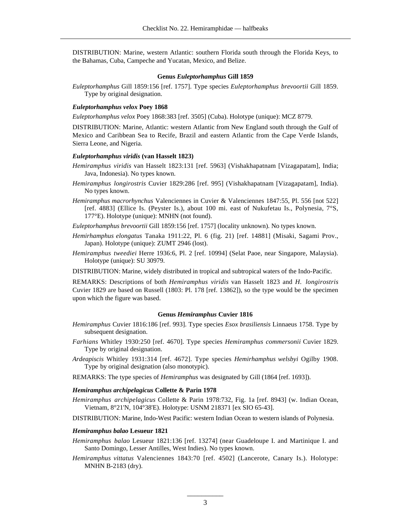DISTRIBUTION: Marine, western Atlantic: southern Florida south through the Florida Keys, to the Bahamas, Cuba, Campeche and Yucatan, Mexico, and Belize.

# **Genus** *Euleptorhamphus* **Gill 1859**

*Euleptorhamphus* Gill 1859:156 [ref. 1757]. Type species *Euleptorhamphus brevoortii* Gill 1859. Type by original designation.

# *Euleptorhamphus velox* **Poey 1868**

*Euleptorhamphus velox* Poey 1868:383 [ref. 3505] (Cuba). Holotype (unique): MCZ 8779.

DISTRIBUTION: Marine, Atlantic: western Atlantic from New England south through the Gulf of Mexico and Caribbean Sea to Recife, Brazil and eastern Atlantic from the Cape Verde Islands, Sierra Leone, and Nigeria.

# *Euleptorhamphus viridis* **(van Hasselt 1823)**

- *Hemiramphus viridis* van Hasselt 1823:131 [ref. 5963] (Vishakhapatnam [Vizagapatam], India; Java, Indonesia). No types known.
- *Hemiramphus longirostris* Cuvier 1829:286 [ref. 995] (Vishakhapatnam [Vizagapatam], India). No types known.
- *Hemiramphus macrorhynchus* Valenciennes in Cuvier & Valenciennes 1847:55, Pl. 556 [not 522] [ref. 4883] (Ellice Is. (Peyster Is.), about 100 mi. east of Nukufetau Is., Polynesia, 7°S, 177°E). Holotype (unique): MNHN (not found).
- *Euleptorhamphus brevoortii* Gill 1859:156 [ref. 1757] (locality unknown). No types known.
- *Hemirhamphus elongatus* Tanaka 1911:22, Pl. 6 (fig. 21) [ref. 14881] (Misaki, Sagami Prov., Japan). Holotype (unique): ZUMT 2946 (lost).
- *Hemiramphus tweediei* Herre 1936:6, Pl. 2 [ref. 10994] (Selat Paoe, near Singapore, Malaysia). Holotype (unique): SU 30979.
- DISTRIBUTION: Marine, widely distributed in tropical and subtropical waters of the Indo-Pacific.

REMARKS: Descriptions of both *Hemiramphus viridis* van Hasselt 1823 and *H. longirostris* Cuvier 1829 are based on Russell (1803: Pl. 178 [ref. 13862]), so the type would be the specimen upon which the figure was based.

### **Genus** *Hemiramphus* **Cuvier 1816**

- *Hemiramphus* Cuvier 1816:186 [ref. 993]. Type species *Esox brasiliensis* Linnaeus 1758. Type by subsequent designation.
- *Farhians* Whitley 1930:250 [ref. 4670]. Type species *Hemiramphus commersonii* Cuvier 1829. Type by original designation.
- *Ardeapiscis* Whitley 1931:314 [ref. 4672]. Type species *Hemirhamphus welsbyi* Ogilby 1908. Type by original designation (also monotypic).

REMARKS: The type species of *Hemiramphus* was designated by Gill (1864 [ref. 1693]).

#### *Hemiramphus archipelagicus* **Collette & Parin 1978**

*Hemiramphus archipelagicus* Collette & Parin 1978:732, Fig. 1a [ref. 8943] (w. Indian Ocean, Vietnam, 8°21'N, 104°38'E). Holotype: USNM 218371 [ex SIO 65-43].

DISTRIBUTION: Marine, Indo-West Pacific: western Indian Ocean to western islands of Polynesia.

# *Hemiramphus balao* **Lesueur 1821**

- *Hemiramphus balao* Lesueur 1821:136 [ref. 13274] (near Guadeloupe I. and Martinique I. and Santo Domingo, Lesser Antilles, West Indies). No types known.
- *Hemiramphus vittatus* Valenciennes 1843:70 [ref. 4502] (Lancerote, Canary Is.). Holotype: MNHN B-2183 (dry).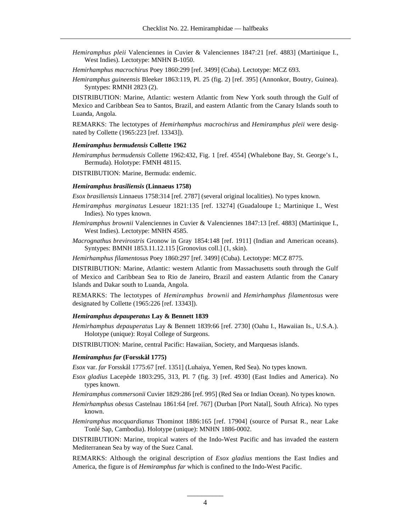- *Hemiramphus pleii* Valenciennes in Cuvier & Valenciennes 1847:21 [ref. 4883] (Martinique I., West Indies). Lectotype: MNHN B-1050.
- *Hemirhamphus macrochirus* Poey 1860:299 [ref. 3499] (Cuba). Lectotype: MCZ 693.
- *Hemiramphus guineensis* Bleeker 1863:119, Pl. 25 (fig. 2) [ref. 395] (Annonkor, Boutry, Guinea). Syntypes: RMNH 2823 (2).

DISTRIBUTION: Marine, Atlantic: western Atlantic from New York south through the Gulf of Mexico and Caribbean Sea to Santos, Brazil, and eastern Atlantic from the Canary Islands south to Luanda, Angola.

REMARKS: The lectotypes of *Hemirhamphus macrochirus* and *Hemiramphus pleii* were designated by Collette (1965:223 [ref. 13343]).

# *Hemiramphus bermudensis* **Collette 1962**

*Hemiramphus bermudensis* Collette 1962:432, Fig. 1 [ref. 4554] (Whalebone Bay, St. George's I., Bermuda). Holotype: FMNH 48115.

DISTRIBUTION: Marine, Bermuda: endemic.

# *Hemiramphus brasiliensis* **(Linnaeus 1758)**

*Esox brasiliensis* Linnaeus 1758:314 [ref. 2787] (several original localities). No types known.

- *Hemiramphus marginatus* Lesueur 1821:135 [ref. 13274] (Guadaloupe I.; Martinique I., West Indies). No types known.
- *Hemiramphus brownii* Valenciennes in Cuvier & Valenciennes 1847:13 [ref. 4883] (Martinique I., West Indies). Lectotype: MNHN 4585.
- *Macrognathus brevirostris* Gronow in Gray 1854:148 [ref. 1911] (Indian and American oceans). Syntypes: BMNH 1853.11.12.115 [Gronovius coll.] (1, skin).

*Hemirhamphus filamentosus* Poey 1860:297 [ref. 3499] (Cuba). Lectotype: MCZ 8775.

DISTRIBUTION: Marine, Atlantic: western Atlantic from Massachusetts south through the Gulf of Mexico and Caribbean Sea to Rio de Janeiro, Brazil and eastern Atlantic from the Canary Islands and Dakar south to Luanda, Angola.

REMARKS: The lectotypes of *Hemiramphus brownii* and *Hemirhamphus filamentosus* were designated by Collette (1965:226 [ref. 13343]).

#### *Hemiramphus depauperatus* **Lay & Bennett 1839**

*Hemirhamphus depauperatus* Lay & Bennett 1839:66 [ref. 2730] (Oahu I., Hawaiian Is., U.S.A.). Holotype (unique): Royal College of Surgeons.

DISTRIBUTION: Marine, central Pacific: Hawaiian, Society, and Marquesas islands.

### *Hemiramphus far* **(Forsskål 1775)**

*Esox* var. *far* Forsskål 1775:67 [ref. 1351] (Luhaiya, Yemen, Red Sea). No types known.

- *Esox gladius* Lacepède 1803:295, 313, Pl. 7 (fig. 3) [ref. 4930] (East Indies and America). No types known.
- *Hemir amphus commersonii* Cuvier 1829:286 [ref. 995] (Red Sea or Indian Ocean). No types known.
- *Hemirhamphus obesus* Castelnau 1861:64 [ref. 767] (Durban [Port Natal], South Africa). No types known.
- *Hemiramphus mocquardianus* Thominot 1886:165 [ref. 17904] (source of Pursat R., near Lake Tonlé Sap, Cambodia). Holotype (unique): MNHN 1886-0002.

DISTRIBUTION: Marine, tropical waters of the Indo-West Pacific and has invaded the eastern Mediterranean Sea by way of the Suez Canal.

REMARKS: Although the original description of *Esox gladius* mentions the East Indies and America, the figure is of *Hemiramphus far* which is confined to the Indo-West Pacific.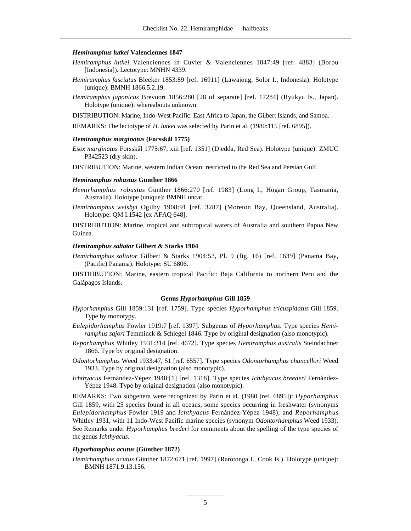#### *Hemiramphus lutkei* **Valenciennes 1847**

- *Hemiramphus lutkei* Valenciennes in Cuvier & Valenciennes 1847:49 [ref. 4883] (Borou [Indonesia]). Lectotype: MNHN 4339.
- *Hemiramphus fasciatus* Bleeker 1853:89 [ref. 16911] (Lawajong, Solor I., Indonesia). Holotype (unique): BMNH 1866.5.2.19.
- *Hemiramphus japonicus* Brevoort 1856:280 [28 of separate] [ref. 17284] (Ryukyu Is., Japan). Holotype (unique): whereabouts unknown.
- DISTRIBUTION: Marine, Indo-West Pacific: East Africa to Japan, the Gilbert Islands, and Samoa.
- REMARKS: The lectotype of *H. lutkei* was selected by Parin et al. (1980:115 [ref. 6895]).

#### *Hemiramphus marginatus* **(Forsskål 1775)**

*Esox marginatus* Forsskål 1775:67, xiii [ref. 1351] (Djedda, Red Sea). Holotype (unique): ZMUC P342523 (dry skin).

DISTRIBUTION: Marine, western Indian Ocean: restricted to the Red Sea and Persian Gulf.

#### *Hemiramphus robustus* **Günther 1866**

- *Hemirhamphus robustus* Günther 1866:270 [ref. 1983] (Long I., Hogan Group, Tasmania, Australia). Holotype (unique): BMNH uncat.
- *Hemirhamphus welsbyi* Ogilby 1908:91 [ref. 3287] (Moreton Bay, Queensland, Australia). Holotype: QM I.1542 [ex AFAQ 648].

DISTRIBUTION: Marine, tropical and subtropical waters of Australia and southern Papua New Guinea.

#### *Hemiramphus saltator* **Gilbert & Starks 1904**

*Hemirhamphus saltator* Gilbert & Starks 1904:53, Pl. 9 (fig. 16) [ref. 1639] (Panama Bay, (Pacific) Panama). Holotype: SU 6806.

DISTRIBUTION: Marine, eastern tropical Pacific: Baja California to northern Peru and the Galápagos Islands.

# **Genus** *Hyporhamphus* **Gill 1859**

- *Hyporhamphus* Gill 1859:131 [ref. 1759]. Type species *Hyporhamphus tricuspidatus* Gill 1859. Type by monotypy.
- *Eulepidorhamphus* Fowler 1919:7 [ref. 1397]. Subgenus of *Hyporhamphus.* Type species *Hemiramphus sajori* Temminck & Schlegel 1846. Type by original designation (also monotypic).
- *Reporhamphus* Whitley 1931:314 [ref. 4672]. Type species *Hemiramphus australis* Steindachner 1866. Type by original designation.
- *Odontorhamphus* Weed 1933:47, 51 [ref. 6557]. Type species *Odontorhamphus chancellori* Weed 1933. Type by original designation (also monotypic).
- *Ichthyacus* Fernández-Yépez 1948:[1] [ref. 1318]. Type species *Ichthyacus breederi* Fernández-Yépez 1948. Type by original designation (also monotypic).

REMARKS: Two subgenera were recognized by Parin et al. (1980 [ref. 6895]): *Hyporhamphus* Gill 1859, with 25 species found in all oceans, some species occurring in freshwater (synonyms *Eulepidorhamphus* Fowler 1919 and *Ichthyacus* Fernández-Yépez 1948); and *Reporhamphus* Whitley 1931, with 11 Indo-West Pacific marine species (synonym *Odontorhamphus* Weed 1933). See Remarks under *Hyporhamphus brederi* for comments about the spelling of the type species of the genus *Ichthyacus.*

# *Hyporhamphus acutus* **(Günther 1872)**

*Hemirhamphus acutus* Günther 1872:671 [ref. 1997] (Rarotonga I., Cook Is.). Holotype (unique): BMNH 1871.9.13.156.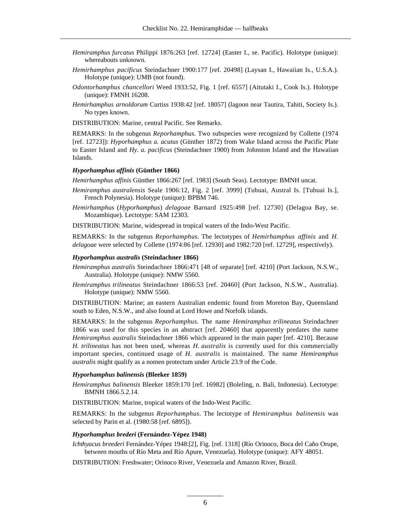- *Hemiramphus furcatus* Philippi 1876:263 [ref. 12724] (Easter I., se. Pacific). Holotype (unique): whereabouts unknown.
- *Hemirhamphus pacificus* Steindachner 1900:177 [ref. 20498] (Laysan I., Hawaiian Is., U.S.A.). Holotype (unique): UMB (not found).
- *Odontorhamphus chancellori* Weed 1933:52, Fig. 1 [ref. 6557] (Aitutaki I., Cook Is.). Holotype (unique): FMNH 16208.
- *Hemirhamphus arnoldorum* Curtiss 1938:42 [ref. 18057] (lagoon near Tautira, Tahiti, Society Is.). No types known.

DISTRIBUTION: Marine, central Pacific. See Remarks.

REMARKS: In the subgenus *Reporhamphus.* Two subspecies were recognized by Collette (1974 [ref. 12723]): *Hyporhamphus a. acutus* (Günther 1872) from Wake Island across the Pacific Plate to Easter Island and *Hy. a. pacificus* (Steindachner 1900) from Johnston Island and the Hawaiian Islands.

# *Hyporhamphus affinis* **(Günther 1866)**

*Hemirhamphus affinis* Günther 1866:267 [ref. 1983] (South Seas). Lectotype: BMNH uncat.

- *Hemiramphus australensis* Seale 1906:12, Fig. 2 [ref. 3999] (Tubuai, Austral Is. [Tubuai Is.], French Polynesia). Holotype (unique): BPBM 746.
- *Hemirhamphus* (*Hyporhamphus*) *delagoae* Barnard 1925:498 [ref. 12730] (Delagoa Bay, se. Mozambique). Lectotype: SAM 12303.

DISTRIBUTION: Marine, widespread in tropical waters of the Indo-West Pacific.

REMARKS: In the subgenus *Reporhamphus.* The lectotypes of *Hemirhamphus affinis* and *H. delagoae* were selected by Collette (1974:86 [ref. 12930] and 1982:720 [ref. 12729], respectively).

# *Hyporhamphus australis* **(Steindachner 1866)**

- *Hemiramphus australis* Steindachner 1866:471 [48 of separate] [ref. 4210] (Port Jackson, N.S.W., Australia). Holotype (unique): NMW 5560.
- *Hemiramphus trilineatus* Steindachner 1866:53 [ref. 20460] (Port Jackson, N.S.W., Australia). Holotype (unique): NMW 5560.

DISTRIBUTION: Marine; an eastern Australian endemic found from Moreton Bay, Queensland south to Eden, N.S.W., and also found at Lord Howe and Norfolk islands.

REMARKS: In the subgenus *Reporhamphus.* The name *Hemiramphus trilineatus* Steindachner 1866 was used for this species in an abstract [ref. 20460] that apparently predates the name *Hemiramphus australis* Steindachner 1866 which appeared in the main paper [ref. 4210]. Because *H. trilineatus* has not been used, whereas *H. australis* is currently used for this commercially important species, continued usage of *H. australis* is maintained. The name *Hemiramphus australis* might qualify as a nomen protectum under Article 23.9 of the Code.

# *Hyporhamphus balinensis* **(Bleeker 1859)**

*Hemiramphus balinensis* Bleeker 1859:170 [ref. 16982] (Boleling, n. Bali, Indonesia). Lectotype: BMNH 1866.5.2.14.

DISTRIBUTION: Marine, tropical waters of the Indo-West Pacific.

REMARKS: In the subgenus *Reporhamphus.* The lectotype of *Hemiramphus balinensis* was selected by Parin et al. (1980:58 [ref. 6895]).

# *Hyporhamphus brederi* **(Fernández-Yépez 1948)**

*I chthyacus breederi* Fernández-Yépez 1948:[2], Fig. [ref. 1318] (Río Orinoco, Boca del Caño Orupe, between mouths of Río Meta and Río Apure, Venezuela). Holotype (unique): AFY 48051.

DISTRIBUTION: Freshwater; Orinoco River, Venezuela and Amazon River, Brazil.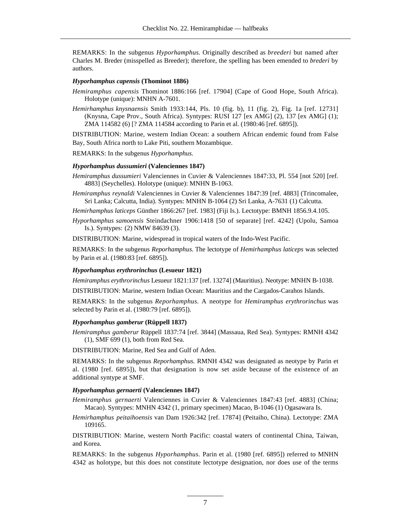REMARKS: In the subgenus *Hyporhamphus.* Originally described as *breederi* but named after Charles M. Breder (misspelled as Breeder); therefore, the spelling has been emended to *brederi* by authors.

# *Hyporhamphus capensis* **(Thominot 1886)**

- *Hemiramphus capensis* Thominot 1886:166 [ref. 17904] (Cape of Good Hope, South Africa). Holotype (unique): MNHN A-7601.
- *Hemirhamphus knysnaensis* Smith 1933:144, Pls. 10 (fig. b), 11 (fig. 2), Fig. 1a [ref. 12731] (Knysna, Cape Prov., South Africa). Syntypes: RUSI 127 [ex AMG] (2), 137 [ex AMG] (1); ZMA 114582 (6) [? ZMA 114584 according to Parin et al. (1980:46 [ref. 6895]).

DISTRIBUTION: Marine, western Indian Ocean: a southern African endemic found from False Bay, South Africa north to Lake Piti, southern Mozambique.

REMARKS: In the subgenus *Hyporhamphus.*

# *Hyporhamphus dussumieri* **(Valenciennes 1847)**

- *Hemiramphus dussumieri* Valenciennes in Cuvier & Valenciennes 1847:33, Pl. 554 [not 520] [ref. 4883] (Seychelles). Holotype (unique): MNHN B-1063.
- *Hemiramphus reynaldi* Valenciennes in Cuvier & Valenciennes 1847:39 [ref. 4883] (Trincomalee, Sri Lanka; Calcutta, India). Syntypes: MNHN B-1064 (2) Sri Lanka, A-7631 (1) Calcutta.

*Hemirhamphus laticeps* Günther 1866:267 [ref. 1983] (Fiji Is.). Lectotype: BMNH 1856.9.4.105.

*Hyporhamphus samoensis* Steindachner 1906:1418 [50 of separate] [ref. 4242] (Upolu, Samoa Is.). Syntypes: (2) NMW 84639 (3).

DISTRIBUTION: Marine, widespread in tropical waters of the Indo-West Pacific.

REMARKS: In the subgenus *Reporhamphus*. The lectotype of *Hemirhamphus laticeps* was selected by Parin et al. (1980:83 [ref. 6895]).

# *Hyporhamphus erythrorinchus* **(Lesueur 1821)**

*Hemiramphus erythrorinchus* Lesueur 1821:137 [ref. 13274] (Mauritius). Neotype: MNHN B-1038.

DISTRIBUTION: Marine, western Indian Ocean: Mauritius and the Cargados-Carahos Islands.

REMARKS: In the subgenus *Reporhamphus.* A neotype for *Hemiramphus erythrorinchus* was selected by Parin et al. (1980:79 [ref. 6895]).

# *Hyporhamphus gamberur* **(Rüppell 1837)**

*Hemiramphus gamberur* Rüppell 1837:74 [ref. 3844] (Massaua, Red Sea). Syntypes: RMNH 4342 (1), SMF 699 (1), both from Red Sea.

DISTRIBUTION: Marine, Red Sea and Gulf of Aden.

REMARKS: In the subgenus *Reporhamphus.* RMNH 4342 was designated as neotype by Parin et al. (1980 [ref. 6895]), but that designation is now set aside because of the existence of an additional syntype at SMF.

# *Hyporhamphus gernaerti* **(Valenciennes 1847)**

*Hemiramphus gernaerti* Valenciennes in Cuvier & Valenciennes 1847:43 [ref. 4883] (China; Macao). Syntypes: MNHN 4342 (1, primary specimen) Macao, B-1046 (1) Ogasawara Is.

*Hemirhamphus peitaihoensis* van Dam 1926:342 [ref. 17874] (Peitaiho, China). Lectotype: ZMA 109165.

DISTRIBUTION: Marine, western North Pacific: coastal waters of continental China, Taiwan, and Korea.

REMARKS: In the subgenus *Hyporhamphus.* Parin et al. (1980 [ref. 6895]) referred to MNHN 4342 as holotype, but this does not constitute lectotype designation, nor does use of the terms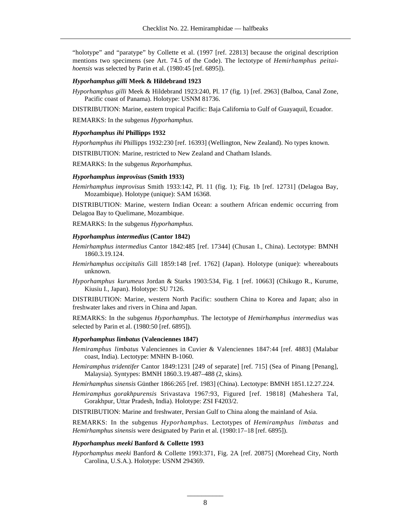"holotype" and "paratype" by Collette et al. (1997 [ref. 22813] because the original description mentions two specimens (see Art. 74.5 of the Code). The lectotype of *Hemirhamphus peitaihoensis* was selected by Parin et al. (1980:45 [ref. 6895]).

# *Hyporhamphus gilli* **Meek & Hildebrand 1923**

*Hyporhamphus gilli* Meek & Hildebrand 1923:240, Pl. 17 (fig. 1) [ref. 2963] (Balboa, Canal Zone, Pacific coast of Panama). Holotype: USNM 81736.

DISTRIBUTION: Marine, eastern tropical Pacific: Baja California to Gulf of Guayaquil, Ecuador.

REMARKS: In the subgenus *Hyporhamphus.*

# *Hyporhamphus ihi* **Phillipps 1932**

*Hyporhamphus ihi* Phillipps 1932:230 [ref. 16393] (Wellington, New Zealand). No types known.

DISTRIBUTION: Marine, restricted to New Zealand and Chatham Islands.

REMARKS: In the subgenus *Reporhamphus.*

# *Hyporhamphus improvisus* **(Smith 1933)**

*Hemirhamphus improvisus* Smith 1933:142, Pl. 11 (fig. 1); Fig. 1b [ref. 12731] (Delagoa Bay, Mozambique). Holotype (unique): SAM 16368.

DISTRIBUTION: Marine, western Indian Ocean: a southern African endemic occurring from Delagoa Bay to Quelimane, Mozambique.

REMARKS: In the subgenus *Hyporhamphus.*

### *Hyporhamphus intermedius* **(Cantor 1842)**

- *Hemirhamphus intermedius* Cantor 1842:485 [ref. 17344] (Chusan I., China). Lectotype: BMNH 1860.3.19.124.
- *Hemirhamphus occipitalis* Gill 1859:148 [ref. 1762] (Japan). Holotype (unique): whereabouts unknown.
- *Hyporhamphus kurumeus* Jordan & Starks 1903:534, Fig. 1 [ref. 10663] (Chikugo R., Kurume, Kiusiu I., Japan). Holotype: SU 7126.

DISTRIBUTION: Marine, western North Pacific: southern China to Korea and Japan; also in freshwater lakes and rivers in China and Japan.

REMARKS: In the subgenus *Hyporhamphus.* The lectotype of *Hemirhamphus intermedius* was selected by Parin et al. (1980:50 [ref. 6895]).

### *Hyporhamphus limbatus* **(Valenciennes 1847)**

- *Hemiramphus limbatus* Valenciennes in Cuvier & Valenciennes 1847:44 [ref. 4883] (Malabar coast, India). Lectotype: MNHN B-1060.
- *Hemiramphus tridentifer* Cantor 1849:1231 [249 of separate] [ref. 715] (Sea of Pinang [Penang], Malaysia). Syntypes: BMNH 1860.3.19.487–488 (2, skins).
- *Hemirhamphus sinensis* Günther 1866:265 [ref. 1983] (China). Lectotype: BMNH 1851.12.27.224.
- *Hemiramphus gorakhpurensis* Srivastava 1967:93, Figured [ref. 19818] (Maheshera Tal, Gorakhpur, Uttar Pradesh, India). Holotype: ZSI F4203/2.

DISTRIBUTION: Marine and freshwater, Persian Gulf to China along the mainland of Asia.

REMARKS: In the subgenus *Hyporhamphus.* Lectotypes of *Hemiramphus limbatus* and *Hemirhamphus sinensis* were designated by Parin et al. (1980:17–18 [ref. 6895]).

#### *Hyporhamphus meeki* **Banford & Collette 1993**

*Hyporhamphus meeki* Banford & Collette 1993:371, Fig. 2A [ref. 20875] (Morehead City, North Carolina, U.S.A.). Holotype: USNM 294369.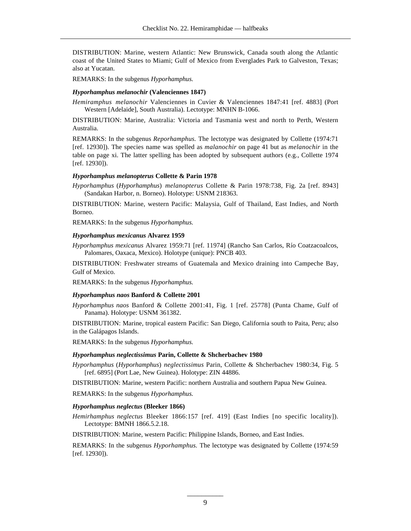DISTRIBUTION: Marine, western Atlantic: New Brunswick, Canada south along the Atlantic coast of the United States to Miami; Gulf of Mexico from Everglades Park to Galveston, Texas; also at Yucatan.

REMARKS: In the subgenus *Hyporhamphus.*

# *Hyporhamphus melanochir* **(Valenciennes 1847)**

*Hemiramphus melanochir* Valenciennes in Cuvier & Valenciennes 1847:41 [ref. 4883] (Port Western [Adelaide], South Australia). Lectotype: MNHN B-1066.

DISTRIBUTION: Marine, Australia: Victoria and Tasmania west and north to Perth, Western Australia.

REMARKS: In the subgenus *Reporhamphus.* The lectotype was designated by Collette (1974:71 [ref. 12930]). The species name was spelled as *malanochir* on page 41 but as *melanochir* in the table on page xi. The latter spelling has been adopted by subsequent authors (e.g., Collette 1974 [ref. 12930]).

# *Hyporhamphus melanopterus* **Collette & Parin 1978**

*Hyporhamphus* (*Hyporhamphus*) *melanopterus* Collette & Parin 1978:738, Fig. 2a [ref. 8943] (Sandakan Harbor, n. Borneo). Holotype: USNM 218363.

DISTRIBUTION: Marine, western Pacific: Malaysia, Gulf of Thailand, East Indies, and North Borneo.

REMARKS: In the subgenus *Hyporhamphus.*

### *Hyporhamphus mexicanus* **Alvarez 1959**

*Hyporhamphus mexicanus* Alvarez 1959:71 [ref. 11974] (Rancho San Carlos, Río Coatzacoalcos, Palomares, Oaxaca, Mexico). Holotype (unique): PNCB 403.

DISTRIBUTION: Freshwater streams of Guatemala and Mexico draining into Campeche Bay, Gulf of Mexico.

REMARKS: In the subgenus *Hyporhamphus.*

# *Hyporhamphus naos* **Banford & Collette 2001**

*Hyporhamphus naos* Banford & Collette 2001:41, Fig. 1 [ref. 25778] (Punta Chame, Gulf of Panama). Holotype: USNM 361382.

DISTRIBUTION: Marine, tropical eastern Pacific: San Diego, California south to Paita, Peru; also in the Galápagos Islands.

REMARKS: In the subgenus *Hyporhamphus.*

# *Hyporhamphus neglectissimus* **Parin, Collette & Shcherbachev 1980**

*Hyporhamphus* (*Hyporhamphus*) *neglectissimus* Parin, Collette & Shcherbachev 1980:34, Fig. 5 [ref. 6895] (Port Lae, New Guinea). Holotype: ZIN 44886.

DISTRIBUTION: Marine, western Pacific: northern Australia and southern Papua New Guinea.

REMARKS: In the subgenus *Hyporhamphus.*

#### *Hyporhamphus neglectus* **(Bleeker 1866)**

*Hemirhamphus neglectus* Bleeker 1866:157 [ref. 419] (East Indies [no specific locality]). Lectotype: BMNH 1866.5.2.18.

DISTRIBUTION: Marine, western Pacific: Philippine Islands, Borneo, and East Indies.

REMARKS: In the subgenus *Hyporhamphus.* The lectotype was designated by Collette (1974:59 [ref. 12930]).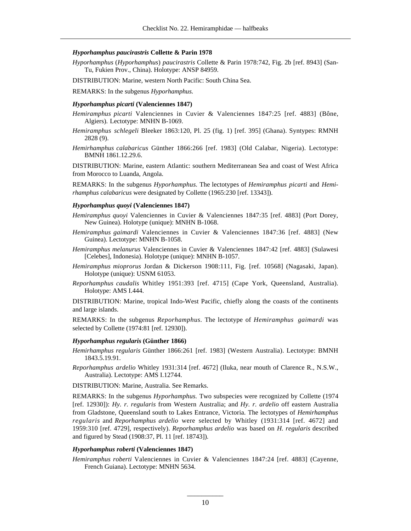# *Hyporhamphus paucirastris* **Collette & Parin 1978**

*Hyporhamphus* (*Hyporhamphus*) *paucirastris* Collette & Parin 1978:742, Fig. 2b [ref. 8943] (San-Tu, Fukien Prov., China). Holotype: ANSP 84959.

DISTRIBUTION: Marine, western North Pacific: South China Sea.

REMARKS: In the subgenus *Hyporhamphus.*

#### *Hyporhamphus picarti* **(Valenciennes 1847)**

- *Hemiramphus picarti* Valenciennes in Cuvier & Valenciennes 1847:25 [ref. 4883] (Bône, Algiers). Lectotype: MNHN B-1069.
- *Hemiramphus schlegeli* Bleeker 1863:120, Pl. 25 (fig. 1) [ref. 395] (Ghana). Syntypes: RMNH 2828 (9).
- *Hemirhamphus calabaricus* Günther 1866:266 [ref. 1983] (Old Calabar, Nigeria). Lectotype: BMNH 1861.12.29.6.

DISTRIBUTION: Marine, eastern Atlantic: southern Mediterranean Sea and coast of West Africa from Morocco to Luanda, Angola.

REMARKS: In the subgenus *Hyporhamphus.* The lectotypes of *Hemiramphus picarti* and *Hemirhamphus calabaricus* were designated by Collette (1965:230 [ref. 13343]).

# *Hyporhamphus quoyi* **(Valenciennes 1847)**

- *Hemiramphus quoyi* Valenciennes in Cuvier & Valenciennes 1847:35 [ref. 4883] (Port Dorey, New Guinea). Holotype (unique): MNHN B-1068.
- *Hemiramphus gaimardi* Valenciennes in Cuvier & Valenciennes 1847:36 [ref. 4883] (New Guinea). Lectotype: MNHN B-1058.
- *Hemiramphus melanurus* Valenciennes in Cuvier & Valenciennes 1847:42 [ref. 4883] (Sulawesi [Celebes], Indonesia). Holotype (unique): MNHN B-1057.
- *Hemiramphus mioprorus* Jordan & Dickerson 1908:111, Fig. [ref. 10568] (Nagasaki, Japan). Holotype (unique): USNM 61053.
- *Reporhamphus caudalis* Whitley 1951:393 [ref. 4715] (Cape York, Queensland, Australia). Holotype: AMS I.444.

DISTRIBUTION: Marine, tropical Indo-West Pacific, chiefly along the coasts of the continents and large islands.

REMARKS: In the subgenus *Reporhamphus.* The lectotype of *Hemiramphus gaimardi* was selected by Collette (1974:81 [ref. 12930]).

# *Hyporhamphus regularis* **(Günther 1866)**

- *Hemirhamphus regularis* Günther 1866:261 [ref. 1983] (Western Australia). Lectotype: BMNH 1843.5.19.91.
- *Reporhamphus ardelio* Whitley 1931:314 [ref. 4672] (Iluka, near mouth of Clarence R., N.S.W., Australia). Lectotype: AMS I.12744.

DISTRIBUTION: Marine, Australia. See Remarks.

REMARKS: In the subgenus *Hyporhamphus.* Two subspecies were recognized by Collette (1974 [ref. 12930]): *Hy. r. regularis* from Western Australia; and *Hy. r. ardelio* off eastern Australia from Gladstone, Queensland south to Lakes Entrance, Victoria. The lectotypes of *Hemirhamphus regularis* and *Reporhamphus ardelio* were selected by Whitley (1931:314 [ref. 4672] and 1959:310 [ref. 4729], respectively). *Reporhamphus ardelio* was based on *H. regularis* described and figured by Stead (1908:37, Pl. 11 [ref. 18743]).

### *Hyporhamphus roberti* **(Valenciennes 1847)**

*Hemiramphus roberti* Valenciennes in Cuvier & Valenciennes 1847:24 [ref. 4883] (Cayenne, French Guiana). Lectotype: MNHN 5634.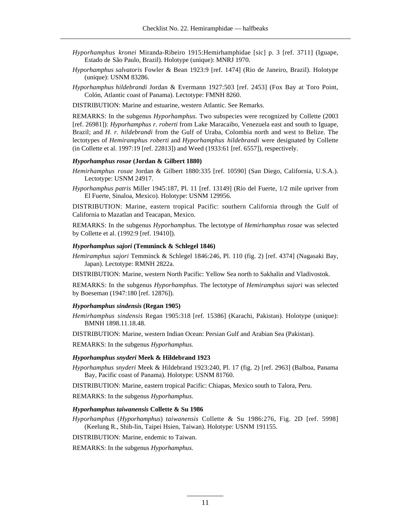- *Hyporhamphus kronei* Miranda-Ribeiro 1915:Hemirhamphidae [sic] p. 3 [ref. 3711] (Iguape, Estado de São Paulo, Brazil). Holotype (unique): MNRJ 1970.
- *Hyporhamphus salvatoris* Fowler & Bean 1923:9 [ref. 1474] (Rio de Janeiro, Brazil). Holotype (unique): USNM 83286.
- *Hyporhamphus hildebrandi* Jordan & Evermann 1927:503 [ref. 2453] (Fox Bay at Toro Point, Colón, Atlantic coast of Panama). Lectotype: FMNH 8260.

DISTRIBUTION: Marine and estuarine, western Atlantic. See Remarks.

REMARKS: In the subgenus *Hyporhamphus.* Two subspecies were recognized by Collette (2003 [ref. 26981]): *Hyporhamphus r. roberti* from Lake Maracaibo, Venezuela east and south to Iguape, Brazil; and *H. r. hildebrandi* from the Gulf of Uraba, Colombia north and west to Belize. The lectotypes of *Hemiramphus roberti* and *Hyporhamphus hildebrandi* were designated by Collette (in Collette et al. 1997:19 [ref. 22813]) and Weed (1933:61 [ref. 6557]), respectively.

# *Hyporhamphus rosae* **(Jordan & Gilbert 1880)**

- *Hemirhamphus rosae* Jordan & Gilbert 1880:335 [ref. 10590] (San Diego, California, U.S.A.). Lectotype: USNM 24917.
- *Hyporhamphus patris* Miller 1945:187, Pl. 11 [ref. 13149] (Río del Fuerte, 1/2 mile upriver from El Fuerte, Sinaloa, Mexico). Holotype: USNM 129956.

DISTRIBUTION: Marine, eastern tropical Pacific: southern California through the Gulf of California to Mazatlan and Teacapan, Mexico.

REMARKS: In the subgenus *Hyporhamphus.* The lectotype of *Hemirhamphus rosae* was selected by Collette et al. (1992:9 [ref. 19410]).

# *Hyporhamphus sajori* **(Temminck & Schlegel 1846)**

*Hemiramphus sajori* Temminck & Schlegel 1846:246, Pl. 110 (fig. 2) [ref. 4374] (Nagasaki Bay, Japan). Lectotype: RMNH 2822a.

DISTRIBUTION: Marine, western North Pacific: Yellow Sea north to Sakhalin and Vladivostok.

REMARKS: In the subgenus *Hyporhamphus.* The lectotype of *Hemiramphus sajori* was selected by Boeseman (1947:180 [ref. 12876]).

### *Hyporhamphus sindensis* **(Regan 1905)**

*Hemirhamphus sindensis* Regan 1905:318 [ref. 15386] (Karachi, Pakistan). Holotype (unique): BMNH 1898.11.18.48.

DISTRIBUTION: Marine, western Indian Ocean: Persian Gulf and Arabian Sea (Pakistan).

REMARKS: In the subgenus *Hyporhamphus.*

### *Hyporhamphus snyderi* **Meek & Hildebrand 1923**

*Hyporhamphus snyderi* Meek & Hildebrand 1923:240, Pl. 17 (fig. 2) [ref. 2963] (Balboa, Panama Bay, Pacific coast of Panama). Holotype: USNM 81760.

DISTRIBUTION: Marine, eastern tropical Pacific: Chiapas, Mexico south to Talora, Peru.

REMARKS: In the subgenus *Hyporhamphus.*

# *Hyporhamphus taiwanensis* **Collette & Su 1986**

*Hyporhamphus* (*Hyporhamphus*) *taiwanensis* Collette & Su 1986:276, Fig. 2D [ref. 5998] (Keelung R., Shih-lin, Taipei Hsien, Taiwan). Holotype: USNM 191155.

DISTRIBUTION: Marine, endemic to Taiwan.

REMARKS: In the subgenus *Hyporhamphus.*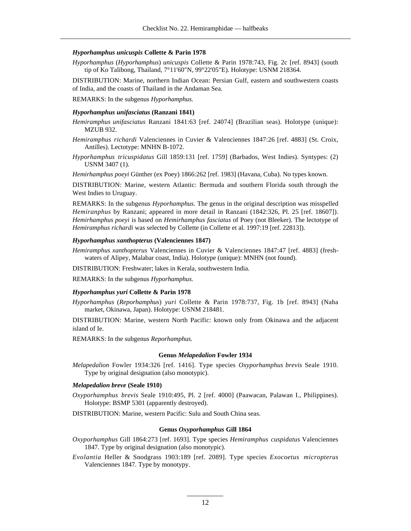### *Hyporhamphus unicuspis* **Collette & Parin 1978**

*Hyporhamphus* (*Hyporhamphus*) *unicuspis* Collette & Parin 1978:743, Fig. 2c [ref. 8943] (south tip of Ko Talibong, Thailand, 7°11'60"N, 99°22'05"E). Holotype: USNM 218364.

DISTRIBUTION: Marine, northern Indian Ocean: Persian Gulf, eastern and southwestern coasts of India, and the coasts of Thailand in the Andaman Sea.

REMARKS: In the subgenus *Hyporhamphus.*

# *Hyporhamphus unifasciatus* **(Ranzani 1841)**

*Hemiramphus unifasciatus* Ranzani 1841:63 [ref. 24074] (Brazilian seas). Holotype (unique): MZUB 932.

- *Hemiramphus richardi* Valenciennes in Cuvier & Valenciennes 1847:26 [ref. 4883] (St. Croix, Antilles). Lectotype: MNHN B-1072.
- *Hyporhamphus tricuspidatus* Gill 1859:131 [ref. 1759] (Barbados, West Indies). Syntypes: (2) USNM 3407 (1).

*Hemirhamphus poeyi* Günther (ex Poey) 1866:262 [ref. 1983] (Havana, Cuba). No types known.

DISTRIBUTION: Marine, western Atlantic: Bermuda and southern Florida south through the West Indies to Uruguay.

REMARKS: In the subgenus *Hyporhamphus.* The genus in the original description was misspelled *Hemiranphus* by Ranzani; appeared in more detail in Ranzani (1842:326, Pl. 25 [ref. 18607]). *Hemirhamphus poeyi* is based on *Hemirhamphus fasciatus* of Poey (not Bleeker). The lectotype of *Hemiramphus richardi* was selected by Collette (in Collette et al. 1997:19 [ref. 22813]).

### *Hyporhamphus xanthopterus* **(Valenciennes 1847)**

*Hemiramphus xanthopterus* Valenciennes in Cuvier & Valenciennes 1847:47 [ref. 4883] (freshwaters of Alipey, Malabar coast, India). Holotype (unique): MNHN (not found).

DISTRIBUTION: Freshwater; lakes in Kerala, southwestern India.

REMARKS: In the subgenus *Hyporhamphus.*

# *Hyporhamphus yuri* **Collette & Parin 1978**

*Hyporhamphus* (*Reporhamphus*) *yuri* Collette & Parin 1978:737, Fig. 1b [ref. 8943] (Naha market, Okinawa, Japan). Holotype: USNM 218481.

DISTRIBUTION: Marine, western North Pacific: known only from Okinawa and the adjacent island of Ie.

REMARKS: In the subgenus *Reporhamphus.*

#### **Genus** *Melapedalion* **Fowler 1934**

*Melapedalion* Fowler 1934:326 [ref. 1416]. Type species *Oxyporhamphus brevis* Seale 1910. Type by original designation (also monotypic).

#### *Melapedalion breve* **(Seale 1910)**

- *Oxyporhamphus brevis* Seale 1910:495, Pl. 2 [ref. 4000] (Paawacan, Palawan I., Philippines). Holotype: BSMP 5301 (apparently destroyed).
- DISTRIBUTION: Marine, western Pacific: Sulu and South China seas.

### **Genus** *Oxyporhamphus* **Gill 1864**

- *Oxyporhamphus* Gill 1864:273 [ref. 1693]. Type species *Hemiramphus cuspidatus* Valenciennes 1847. Type by original designation (also monotypic).
- *Evolantia* Heller & Snodgrass 1903:189 [ref. 2089]. Type species *Exocoetus micropterus* Valenciennes 1847. Type by monotypy.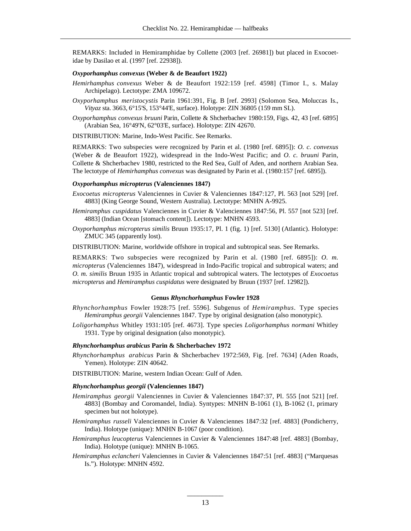REMARKS: Included in Hemiramphidae by Collette (2003 [ref. 26981]) but placed in Exocoetidae by Dasilao et al. (1997 [ref. 22938]).

### *Oxyporhamphus convexus* **(Weber & de Beaufort 1922)**

- *Hemirhamphus convexus* Weber & de Beaufort 1922:159 [ref. 4598] (Timor I., s. Malay Archipelago). Lectotype: ZMA 109672.
- *Oxyporhamphus meristocystis* Parin 1961:391, Fig. B [ref. 2993] (Solomon Sea, Moluccas Is., *Vityaz sta.* 3663, 6°15'S, 153°44'E, surface). Holotype: ZIN 36805 (159 mm SL).
- *Oxyporhamphus convexus bruuni* Parin, Collette & Shcherbachev 1980:159, Figs. 42, 43 [ref. 6895] (Arabian Sea, 16°49'N, 62°03'E, surface). Holotype: ZIN 42670.

DISTRIBUTION: Marine, Indo-West Pacific. See Remarks.

REMARKS: Two subspecies were recognized by Parin et al. (1980 [ref. 6895]): *O. c. convexus* (Weber & de Beaufort 1922), widespread in the Indo-West Pacific; and *O. c. bruuni* Parin, Collette & Shcherbachev 1980, restricted to the Red Sea, Gulf of Aden, and northern Arabian Sea. The lectotype of *Hemirhamphus convexus* was designated by Parin et al. (1980:157 [ref. 6895]).

# *Oxyporhamphus micropterus* **(Valenciennes 1847)**

- *Exocoetus micropterus* Valenciennes in Cuvier & Valenciennes 1847:127, Pl. 563 [not 529] [ref. 4883] (King George Sound, Western Australia). Lectotype: MNHN A-9925.
- *Hemiramphus cuspidatus* Valenciennes in Cuvier & Valenciennes 1847:56, Pl. 557 [not 523] [ref. 4883] (Indian Ocean [stomach content]). Lectotype: MNHN 4593.
- *Oxyporhamphus micropterus similis* Bruun 1935:17, Pl. 1 (fig. 1) [ref. 5130] (Atlantic). Holotype: ZMUC 345 (apparently lost).

DISTRIBUTION: Marine, worldwide offshore in tropical and subtropical seas. See Remarks.

REMARKS: Two subspecies were recognized by Parin et al. (1980 [ref. 6895]): *O. m. micropterus* (Valenciennes 1847), widespread in Indo-Pacific tropical and subtropical waters; and *O. m. similis* Bruun 1935 in Atlantic tropical and subtropical waters. The lectotypes of *Exocoetus micropterus* and *Hemiramphus cuspidatus* were designated by Bruun (1937 [ref. 12982]).

# **Genus** *Rhynchorhamphus* **Fowler 1928**

- *Rhynchorhamphus* Fowler 1928:75 [ref. 5596]. Subgenus of *Hemiramphus.* Type species *Hemiramphus georgii* Valenciennes 1847. Type by original designation (also monotypic).
- *Loligorhamphus* Whitley 1931:105 [ref. 4673]. Type species *Loligorhamphus normani* Whitley 1931. Type by original designation (also monotypic).

# *Rhynchorhamphus arabicus* **Parin & Shcherbachev 1972**

*Rhynchorhamphus arabicus* Parin & Shcherbachev 1972:569, Fig. [ref. 7634] (Aden Roads, Yemen). Holotype: ZIN 40642.

DISTRIBUTION: Marine, western Indian Ocean: Gulf of Aden.

# *Rhynchorhamphus georgii* **(Valenciennes 1847)**

- *Hemiramphus georgii* Valenciennes in Cuvier & Valenciennes 1847:37, Pl. 555 [not 521] [ref. 4883] (Bombay and Coromandel, India). Syntypes: MNHN B-1061 (1), B-1062 (1, primary specimen but not holotype).
- *Hemiramphus russeli* Valenciennes in Cuvier & Valenciennes 1847:32 [ref. 4883] (Pondicherry, India). Holotype (unique): MNHN B-1067 (poor condition).
- *Hemiramphus leucopterus* Valenciennes in Cuvier & Valenciennes 1847:48 [ref. 4883] (Bombay, India). Holotype (unique): MNHN B-1065.
- *Hemiramphus eclancheri* Valenciennes in Cuvier & Valenciennes 1847:51 [ref. 4883] ("Marquesas Is."). Holotype: MNHN 4592.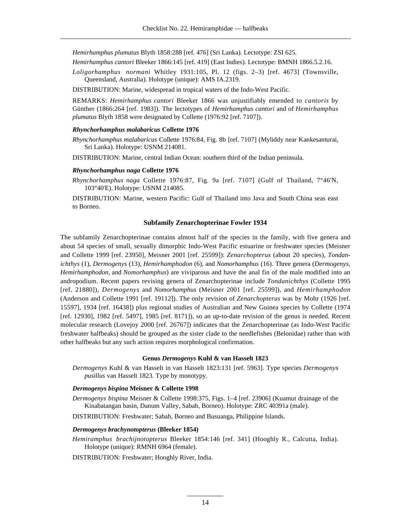*Hemirhamphus plumatus* Blyth 1858:288 [ref. 476] (Sri Lanka). Lectotype: ZSI 625.

*Hemirhamphus cantori* Bleeker 1866:145 [ref. 419] (East Indies). Lectotype: BMNH 1866.5.2.16.

*Loligorhamphus normani* Whitley 1931:105, Pl. 12 (figs. 2–3) [ref. 4673] (Townsville, Queensland, Australia). Holotype (unique): AMS IA.2319.

DISTRIBUTION: Marine, widespread in tropical waters of the Indo-West Pacific.

REMARKS: *Hemirhamphus cantori* Bleeker 1866 was unjustifiably emended to *cantoris* by Günther (1866:264 [ref. 1983]). The lectotypes of *Hemirhamphus cantori* and of *Hemirhamphus plumatus* Blyth 1858 were designated by Collette (1976:92 [ref. 7107]).

# *Rhynchorhamphus malabaricus* **Collette 1976**

*Rhynchorhamphus malabaricus* Collette 1976:84, Fig. 8b [ref. 7107] (Myliddy near Kankesanturai, Sri Lanka). Holotype: USNM 214081.

DISTRIBUTION: Marine, central Indian Ocean: southern third of the Indian peninsula.

### *Rhynchorhamphus naga* **Collette 1976**

*Rhynchorhamphus naga* Collette 1976:87, Fig. 9a [ref. 7107] (Gulf of Thailand, 7°46'N, 103°40'E). Holotype: USNM 214085.

DISTRIBUTION: Marine, western Pacific: Gulf of Thailand into Java and South China seas east to Borneo.

# **Subfamily Zenarchopterinae Fowler 1934**

The subfamily Zenarchopterinae contains almost half of the species in the family, with five genera and about 54 species of small, sexually dimorphic Indo-West Pacific estuarine or freshwater species (Meisner and Collette 1999 [ref. 23950], Meisner 2001 [ref. 25599]): *Zenarchopterus* (about 20 species), *Tondanichthys* (1), *Dermogenys* (13), *Hemirhamphodon* (6), and *Nomorhamphus* (16). Three genera (*Dermogenys, Hemirhamphodon,* and *Nomorhamphus*) are viviparous and have the anal fin of the male modified into an andropodium. Recent papers revising genera of Zenarchopterinae include *Tondanichthys* (Collette 1995 [ref. 21880]), *Dermogenys* and *Nomorhamphus* (Meisner 2001 [ref. 25599]), and *Hemirhamphodon* (Anderson and Collette 1991 [ref. 19112]). The only revision of *Zenarchopterus* was by Mohr (1926 [ref. 15597], 1934 [ref. 16438]) plus regional studies of Australian and New Guinea species by Collette (1974 [ref. 12930], 1982 [ref. 5497], 1985 [ref. 8171]), so an up-to-date revision of the genus is needed. Recent molecular research (Lovejoy 2000 [ref. 26767]) indicates that the Zenarchopterinae (as Indo-West Pacific freshwater halfbeaks) should be grouped as the sister clade to the needlefishes (Belonidae) rather than with other halfbeaks but any such action requires morphological confirmation.

### **Genus** *Dermogenys* **Kuhl & van Hasselt 1823**

*Dermogenys* Kuhl & van Hasselt in van Hasselt 1823:131 [ref. 5963]. Type species *Dermogenys pusillus* van Hasselt 1823. Type by monotypy.

# *Dermogenys bispina* **Meisner & Collette 1998**

*Dermogenys bispina* Meisner & Collette 1998:375, Figs. 1–4 [ref. 23906] (Kuamut drainage of the Kinabatangan basin, Danum Valley, Sabah, Borneo). Holotype: ZRC 40391a (male).

DISTRIBUTION: Freshwater; Sabah, Borneo and Busuanga, Philippine Islands.

# *Dermogenys brachynotopterus* **(Bleeker 1854)**

*Hemiramphus brachijnotopterus* Bleeker 1854:146 [ref. 341] (Hooghly R., Calcutta, India). Holotype (unique): RMNH 6964 (female).

DISTRIBUTION: Freshwater; Hooghly River, India.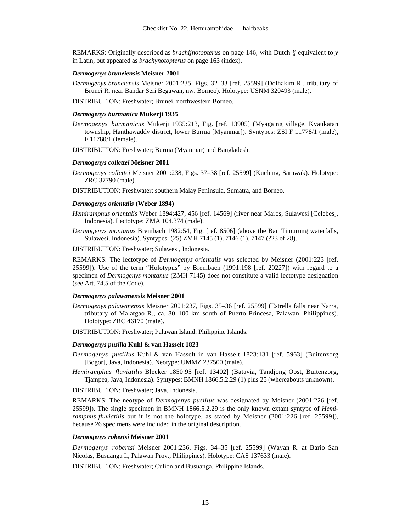REMARKS: Originally described as *brachijnotopterus* on page 146, with Dutch *ij* equivalent to *y* in Latin, but appeared as *brachynotopterus* on page 163 (index).

# *Dermogenys bruneiensis* **Meisner 2001**

*Dermogenys bruneiensis* Meisner 2001:235, Figs. 32–33 [ref. 25599] (Dolhakim R., tributary of Brunei R. near Bandar Seri Begawan, nw. Borneo). Holotype: USNM 320493 (male).

DISTRIBUTION: Freshwater; Brunei, northwestern Borneo.

# *Dermogenys burmanica* **Mukerji 1935**

*Dermogenys burmanicus* Mukerji 1935:213, Fig. [ref. 13905] (Myagaing village, Kyaukatan township, Hanthawaddy district, lower Burma [Myanmar]). Syntypes: ZSI F 11778/1 (male), F 11780/1 (female).

DISTRIBUTION: Freshwater; Burma (Myanmar) and Bangladesh.

# *Dermogenys collettei* **Meisner 2001**

*Dermogenys collettei* Meisner 2001:238, Figs. 37–38 [ref. 25599] (Kuching, Sarawak). Holotype: ZRC 37790 (male).

DISTRIBUTION: Freshwater; southern Malay Peninsula, Sumatra, and Borneo.

# *Dermogenys orientalis* **(Weber 1894)**

- *Hemiramphus orientalis* Weber 1894:427, 456 [ref. 14569] (river near Maros, Sulawesi [Celebes], Indonesia). Lectotype: ZMA 104.374 (male).
- *Dermogenys montanus* Brembach 1982:54, Fig. [ref. 8506] (above the Ban Timurung waterfalls, Sulawesi, Indonesia). Syntypes: (25) ZMH 7145 (1), 7146 (1), 7147 (?23 of 28).

DISTRIBUTION: Freshwater; Sulawesi, Indonesia.

REMARKS: The lectotype of *Dermogenys orientalis* was selected by Meisner (2001:223 [ref. 25599]). Use of the term "Holotypus" by Brembach (1991:198 [ref. 20227]) with regard to a specimen of *Dermogenys montanus* (ZMH 7145) does not constitute a valid lectotype designation (see Art. 74.5 of the Code).

# *Dermogenys palawanensis* **Meisner 2001**

- *Dermogenys palawanensis* Meisner 2001:237, Figs. 35–36 [ref. 25599] (Estrella falls near Narra, tributary of Malatgao R., ca. 80–100 km south of Puerto Princesa, Palawan, Philippines). Holotype: ZRC 46170 (male).
- DISTRIBUTION: Freshwater; Palawan Island, Philippine Islands.

# *Dermogenys pusilla* **Kuhl & van Hasselt 1823**

- *Dermogenys pusillus* Kuhl & van Hasselt in van Hasselt 1823:131 [ref. 5963] (Buitenzorg [Bogor], Java, Indonesia). Neotype: UMMZ 237500 (male).
- *Hemiramphus fluviatilis* Bleeker 1850:95 [ref. 13402] (Batavia, Tandjong Oost, Buitenzorg, Tjampea, Java, Indonesia). Syntypes: BMNH 1866.5.2.29 (1) plus 25 (whereabouts unknown).

DISTRIBUTION: Freshwater; Java, Indonesia.

REMARKS: The neotype of *Dermogenys pusillus* was designated by Meisner (2001:226 [ref. 25599]). The single specimen in BMNH 1866.5.2.29 is the only known extant syntype of *Hemiramphus fluviatilis* but it is not the holotype, as stated by Meisner (2001:226 [ref. 25599]), because 26 specimens were included in the original description.

# *Dermogenys robertsi* **Meisner 2001**

*Dermogenys robertsi* Meisner 2001:236, Figs. 34–35 [ref. 25599] (Wayan R. at Bario San Nicolas, Busuanga I., Palawan Prov., Philippines). Holotype: CAS 137633 (male).

DISTRIBUTION: Freshwater; Culion and Busuanga, Philippine Islands.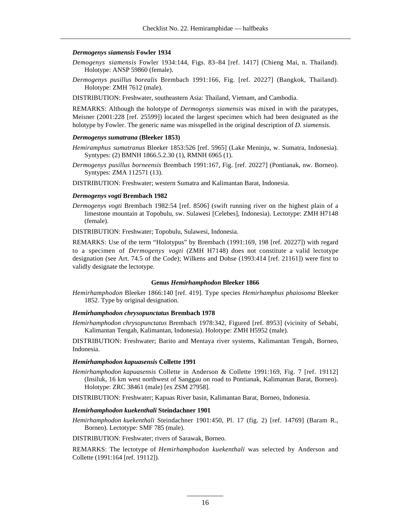#### *Dermogenys siamensis* **Fowler 1934**

- *Demogenys siamensis* Fowler 1934:144, Figs. 83–84 [ref. 1417] (Chieng Mai, n. Thailand). Holotype: ANSP 59860 (female).
- *Dermogenys pusillus borealis* Brembach 1991:166, Fig. [ref. 20227] (Bangkok, Thailand). Holotype: ZMH 7612 (male).

DISTRIBUTION: Freshwater, southeastern Asia: Thailand, Vietnam, and Cambodia.

REMARKS: Although the holotype of *Dermogenys siamensis* was mixed in with the paratypes, Meisner (2001:228 [ref. 25599]) located the largest specimen which had been designated as the holotype by Fowler. The generic name was misspelled in the original description of *D. siamensis.*

#### *Dermogenys sumatrana* **(Bleeker 1853)**

- *Hemiramphus sumatranus* Bleeker 1853:526 [ref. 5965] (Lake Meninju, w. Sumatra, Indonesia). Syntypes: (2) BMNH 1866.5.2.30 (1), RMNH 6965 (1).
- *Dermogenys pusillus borneensis* Brembach 1991:167, Fig. [ref. 20227] (Pontianak, nw. Borneo). Syntypes: ZMA 112571 (13).

DISTRIBUTION: Freshwater; western Sumatra and Kalimantan Barat, Indonesia.

#### *Dermogenys vogti* **Brembach 1982**

*Dermogenys vogti* Brembach 1982:54 [ref. 8506] (swift running river on the highest plain of a limestone mountain at Topobulu, sw. Sulawesi [Celebes], Indonesia). Lectotype: ZMH H7148 (female).

DISTRIBUTION: Freshwater; Topobulu, Sulawesi, Indonesia.

REMARKS: Use of the term "Holotypus" by Brembach (1991:169, 198 [ref. 20227]) with regard to a specimen of *Dermogenys vogti* (ZMH H7148) does not constitute a valid lectotype designation (see Art. 74.5 of the Code); Wilkens and Dohse (1993:414 [ref. 21161]) were first to validly designate the lectotype.

### **Genus** *Hemirhamphodon* **Bleeker 1866**

*Hemirhamphodon* Bleeker 1866:140 [ref. 419]. Type species *Hemirhamphus phaiosoma* Bleeker 1852. Type by original designation.

#### *Hemirhamphodon chrysopunctatus* **Brembach 1978**

*Hemirhamphodon chrysopunctatus* Brembach 1978:342, Figured [ref. 8953] (vicinity of Sebabi, Kalimantan Tengah, Kalimantan, Indonesia). Holotype: ZMH H5952 (male).

DISTRIBUTION: Freshwater; Barito and Mentaya river systems, Kalimantan Tengah, Borneo, Indonesia.

#### *Hemirhamphodon kapuasensis* **Collette 1991**

*Hemirhamphodon kapuasensis* Collette in Anderson & Collette 1991:169, Fig. 7 [ref. 19112] (Insiluk, 16 km west northwest of Sanggau on road to Pontianak, Kalimantan Barat, Borneo). Holotype: ZRC 38461 (male) [ex ZSM 27958].

DISTRIBUTION: Freshwater; Kapuas River basin, Kalimantan Barat, Borneo, Indonesia.

#### *Hemirhamphodon kuekenthali* **Steindachner 1901**

*Hemirhamphodon kuekenthali* Steindachner 1901:450, Pl. 17 (fig. 2) [ref. 14769] (Baram R., Borneo). Lectotype: SMF 785 (male).

DISTRIBUTION: Freshwater; rivers of Sarawak, Borneo.

REMARKS: The lectotype of *Hemirhamphodon kuekenthali* was selected by Anderson and Collette (1991:164 [ref. 19112]).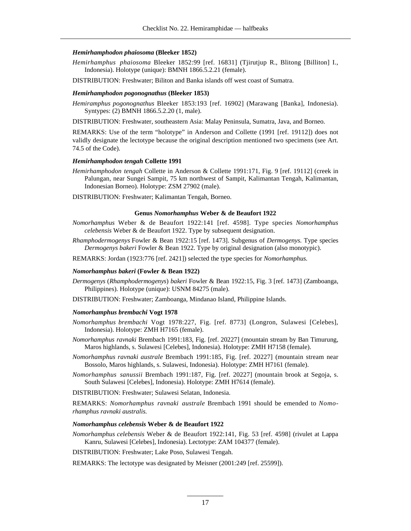# *Hemirhamphodon phaiosoma* **(Bleeker 1852)**

*Hemirhamphus phaiosoma* Bleeker 1852:99 [ref. 16831] (Tjirutjup R., Blitong [Billiton] I., Indonesia). Holotype (unique): BMNH 1866.5.2.21 (female).

DISTRIBUTION: Freshwater; Biliton and Banka islands off west coast of Sumatra.

#### *Hemirhamphodon pogonognathus* **(Bleeker 1853)**

*Hemiramphus pogonognathus* Bleeker 1853:193 [ref. 16902] (Marawang [Banka], Indonesia). Syntypes: (2) BMNH 1866.5.2.20 (1, male).

DISTRIBUTION: Freshwater, southeastern Asia: Malay Peninsula, Sumatra, Java, and Borneo.

REMARKS: Use of the term "holotype" in Anderson and Collette (1991 [ref. 19112]) does not validly designate the lectotype because the original description mentioned two specimens (see Art. 74.5 of the Code).

# *Hemirhamphodon tengah* **Collette 1991**

*Hemirhamphodon tengah* Collette in Anderson & Collette 1991:171, Fig. 9 [ref. 19112] (creek in Palungan, near Sungei Sampit, 75 km northwest of Sampit, Kalimantan Tengah, Kalimantan, Indonesian Borneo). Holotype: ZSM 27902 (male).

DISTRIBUTION: Freshwater; Kalimantan Tengah, Borneo.

### **Genus** *Nomorhamphus* **Weber & de Beaufort 1922**

- *Nomorhamphus* Weber & de Beaufort 1922:141 [ref. 4598]. Type species *Nomorhamphus celebensis* Weber & de Beaufort 1922. Type by subsequent designation.
- *Rhamphodermogenys* Fowler & Bean 1922:15 [ref. 1473]. Subgenus of *Dermogenys*. Type species *Dermogenys bakeri* Fowler & Bean 1922. Type by original designation (also monotypic).
- REMARKS: Jordan (1923:776 [ref. 2421]) selected the type species for *Nomorhamphus.*

# *Nomorhamphus bakeri* **(Fowler & Bean 1922)**

- *Dermogenys (Rhamphodermogenys) bakeri* Fowler & Bean 1922:15, Fig. 3 [ref. 1473] (Zamboanga, Philippines). Holotype (unique): USNM 84275 (male).
- DISTRIBUTION: Freshwater; Zamboanga, Mindanao Island, Philippine Islands.

#### *Nomorhamphus brembachi* **Vogt 1978**

- *Nomorhamphus brembachi* Vogt 1978:227, Fig. [ref. 8773] (Longron, Sulawesi [Celebes], Indonesia). Holotype: ZMH H7165 (female).
- *Nom or hamphus ravnaki* Brembach 1991:183, Fig. [ref. 20227] (mountain stream by Ban Timurung, Maros highlands, s. Sulawesi [Celebes], Indonesia). Holotype: ZMH H7158 (female).
- *Nomorhamphus ravnaki australe* Brembach 1991:185, Fig. [ref. 20227] (mountain stream near Bossolo, Maros highlands, s. Sulawesi, Indonesia). Holotype: ZMH H7161 (female).
- *Nomorhamphus sanussii* Brembach 1991:187, Fig. [ref. 20227] (mountain brook at Segoja, s. South Sulawesi [Celebes], Indonesia). Holotype: ZMH H7614 (female).
- DISTRIBUTION: Freshwater; Sulawesi Selatan, Indonesia.

REMARKS: *Nomorhamphus ravnaki australe* Brembach 1991 should be emended to *Nomorhamphus ravnaki australis.*

### *Nomorhamphus celebensis* **Weber & de Beaufort 1922**

*Nomorhamphus celebensis* Weber & de Beaufort 1922:141, Fig. 53 [ref. 4598] (rivulet at Lappa Kanru, Sulawesi [Celebes], Indonesia). Lectotype: ZAM 104377 (female).

DISTRIBUTION: Freshwater; Lake Poso, Sulawesi Tengah.

REMARKS: The lectotype was designated by Meisner (2001:249 [ref. 25599]).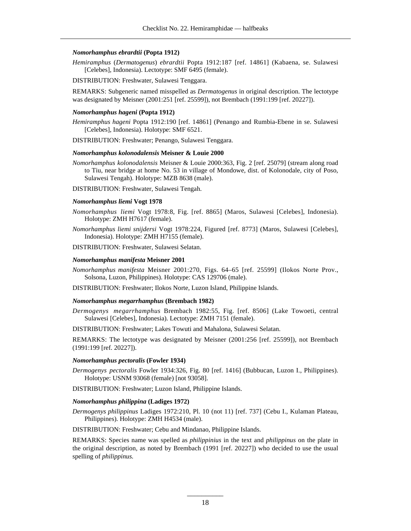# *Nomorhamphus ebrardtii* **(Popta 1912)**

*Hemiramphus* (*Dermatogenus*) *ebrardtii* Popta 1912:187 [ref. 14861] (Kabaena, se. Sulawesi [Celebes], Indonesia). Lectotype: SMF 6495 (female).

DISTRIBUTION: Freshwater, Sulawesi Tenggara.

REMARKS: Subgeneric named misspelled as *Dermatogenus* in original description. The lectotype was designated by Meisner (2001:251 [ref. 25599]), not Brembach (1991:199 [ref. 20227]).

# *Nomorhamphus hageni* **(Popta 1912)**

*Hemiramphus hageni* Popta 1912:190 [ref. 14861] (Penango and Rumbia-Ebene in se. Sulawesi [Celebes], Indonesia). Holotype: SMF 6521.

DISTRIBUTION: Freshwater; Penango, Sulawesi Tenggara.

# *Nomorhamphus kolonodalensis* **Meisner & Louie 2000**

*Nomorhamphus kolonodalensis* Meisner & Louie 2000:363, Fig. 2 [ref. 25079] (stream along road to Tiu, near bridge at home No. 53 in village of Mondowe, dist. of Kolonodale, city of Poso, Sulawesi Tengah). Holotype: MZB 8638 (male).

DISTRIBUTION: Freshwater, Sulawesi Tengah.

# *Nomorhamphus liemi* **Vogt 1978**

*Nomorhamphus liemi* Vogt 1978:8, Fig. [ref. 8865] (Maros, Sulawesi [Celebes], Indonesia). Holotype: ZMH H7617 (female).

*Nomorhamphus liemi snijdersi* Vogt 1978:224, Figured [ref. 8773] (Maros, Sulawesi [Celebes], Indonesia). Holotype: ZMH H7155 (female).

DISTRIBUTION: Freshwater, Sulawesi Selatan.

### *Nomorhamphus manifesta* **Meisner 2001**

*Nomorhamphus manifesta* Meisner 2001:270, Figs. 64–65 [ref. 25599] (Ilokos Norte Prov., Solsona, Luzon, Philippines). Holotype: CAS 129706 (male).

DISTRIBUTION: Freshwater; Ilokos Norte, Luzon Island, Philippine Islands.

### *Nomorhamphus megarrhamphus* **(Brembach 1982)**

*Dermogenys megarrhamphus* Brembach 1982:55, Fig. [ref. 8506] (Lake Towoeti, central Sulawesi [Celebes], Indonesia). Lectotype: ZMH 7151 (female).

DISTRIBUTION: Freshwater; Lakes Towuti and Mahalona, Sulawesi Selatan.

REMARKS: The lectotype was designated by Meisner (2001:256 [ref. 25599]), not Brembach (1991:199 [ref. 20227]).

#### *Nomorhamphus pectoralis* **(Fowler 1934)**

*Dermogenys pectoralis* Fowler 1934:326, Fig. 80 [ref. 1416] (Bubbucan, Luzon I., Philippines). Holotype: USNM 93068 (female) [not 93058].

DISTRIBUTION: Freshwater; Luzon Island, Philippine Islands.

# *Nomorhamphus philippina* **(Ladiges 1972)**

*Dermogenys philippinus* Ladiges 1972:210, Pl. 10 (not 11) [ref. 737] (Cebu I., Kulaman Plateau, Philippines). Holotype: ZMH H4534 (male).

DISTRIBUTION: Freshwater; Cebu and Mindanao, Philippine Islands.

REMARKS: Species name was spelled as *philippinius* in the text and *philippinus* on the plate in the original description, as noted by Brembach (1991 [ref. 20227]) who decided to use the usual spelling of *philippinus.*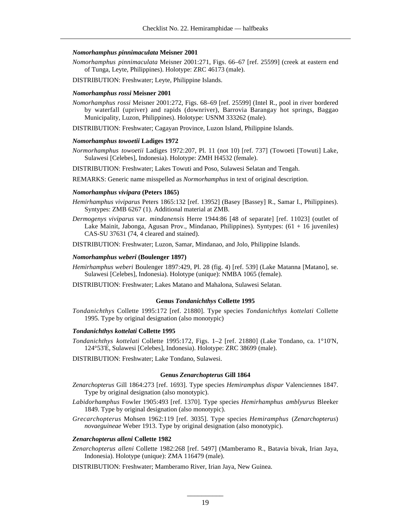### *Nomorhamphus pinnimaculata* **Meisner 2001**

- *Nomorhamphus pinnimaculata* Meisner 2001:271, Figs. 66–67 [ref. 25599] (creek at eastern end of Tunga, Leyte, Philippines). Holotype: ZRC 46173 (male).
- DISTRIBUTION: Freshwater; Leyte, Philippine Islands.

#### *Nomorhamphus rossi* **Meisner 2001**

- *Nomorhamphus rossi* Meisner 2001:272, Figs. 68–69 [ref. 25599] (Intel R., pool in river bordered by waterfall (upriver) and rapids (downriver), Barrovia Barangay hot springs, Baggao Municipality, Luzon, Philippines). Holotype: USNM 333262 (male).
- DISTRIBUTION: Freshwater; Cagayan Province, Luzon Island, Philippine Islands.

# *Nomorhamphus towoetii* **Ladiges 1972**

*Normorhamphus towoetii* Ladiges 1972:207, Pl. 11 (not 10) [ref. 737] (Towoeti [Towuti] Lake, Sulawesi [Celebes], Indonesia). Holotype: ZMH H4532 (female).

DISTRIBUTION: Freshwater; Lakes Towuti and Poso, Sulawesi Selatan and Tengah.

REMARKS: Generic name misspelled as *Normorhamphus* in text of original description.

#### *Nomorhamphus vivipara* **(Peters 1865)**

- *Hemirhamphus viviparus* Peters 1865:132 [ref. 13952] (Basey [Bassey] R., Samar I., Philippines). Syntypes: ZMB 6267 (1). Additional material at ZMB.
- *Dermogenys viviparus* var. *mindanensis* Herre 1944:86 [48 of separate] [ref. 11023] (outlet of Lake Mainit, Jabonga, Agusan Prov., Mindanao, Philippines). Syntypes: (61 + 16 juveniles) CAS-SU 37631 (74, 4 cleared and stained).

DISTRIBUTION: Freshwater; Luzon, Samar, Mindanao, and Jolo, Philippine Islands.

# *Nomorhamphus weberi* **(Boulenger 1897)**

*Hemirhamphus weberi* Boulenger 1897:429, Pl. 28 (fig. 4) [ref. 539] (Lake Matanna [Matano], se. Sulawesi [Celebes], Indonesia). Holotype (unique): NMBA 1065 (female).

DISTRIBUTION: Freshwater; Lakes Matano and Mahalona, Sulawesi Selatan.

### **Genus** *Tondanichthys* **Collette 1995**

*Tondanichthys* Collette 1995:172 [ref. 21880]. Type species *Tondanichthys kottelati* Collette 1995. Type by original designation (also monotypic)

# *Tondanichthys kottelati* **Collette 1995**

- *Tondanichthys kottelati* Collette 1995:172, Figs. 1–2 [ref. 21880] (Lake Tondano, ca. 1°10'N, 124°53'E, Sulawesi [Celebes], Indonesia). Holotype: ZRC 38699 (male).
- DISTRIBUTION: Freshwater; Lake Tondano, Sulawesi.

### **Genus** *Zenarchopterus* **Gill 1864**

- *Zenarchopterus* Gill 1864:273 [ref. 1693]. Type species *Hemiramphus dispar* Valenciennes 1847. Type by original designation (also monotypic).
- *Labidorhamphus* Fowler 1905:493 [ref. 1370]. Type species *Hemirhamphus amblyurus* Bleeker 1849. Type by original designation (also monotypic).
- *Grecarchopterus* Mohsen 1962:119 [ref. 3035]. Type species *Hemiramphus* (*Zenarchopterus*) *novaeguineae* Weber 1913. Type by original designation (also monotypic).

#### *Zenarchopterus alleni* **Collette 1982**

*Zenarchopterus alleni* Collette 1982:268 [ref. 5497] (Mamberamo R., Batavia bivak, Irian Jaya, Indonesia). Holotype (unique): ZMA 116479 (male).

DISTRIBUTION: Freshwater; Mamberamo River, Irian Jaya, New Guinea.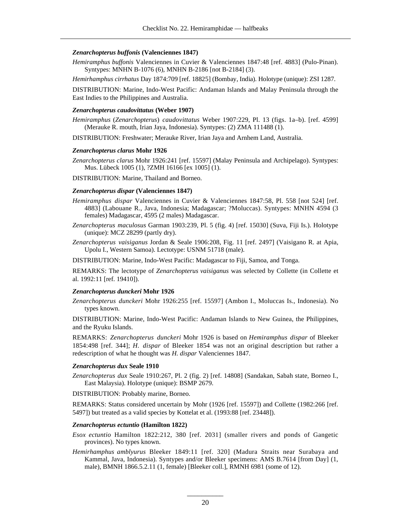# *Zenarchopterus buffonis* **(Valenciennes 1847)**

*Hemiramphus buffonis* Valenciennes in Cuvier & Valenciennes 1847:48 [ref. 4883] (Pulo-Pinan). Syntypes: MNHN B-1076 (6), MNHN B-2186 [not B-2184] (3).

*Hemir hamphus cirrhatus* Day 1874:709 [ref. 18825] (Bombay, India). Holotype (unique): ZSI 1287.

DISTRIBUTION: Marine, Indo-West Pacific: Andaman Islands and Malay Peninsula through the East Indies to the Philippines and Australia.

# *Zenarchopterus caudovittatus* **(Weber 1907)**

*Hemiramphus* (*Zenarchopterus*) *caudovittatus* Weber 1907:229, Pl. 13 (figs. 1a–b). [ref. 4599] (Merauke R. mouth, Irian Jaya, Indonesia). Syntypes: (2) ZMA 111488 (1).

DISTRIBUTION: Freshwater; Merauke River, Irian Jaya and Arnhem Land, Australia.

#### *Zenarchopterus clarus* **Mohr 1926**

*Zenarchopterus clarus* Mohr 1926:241 [ref. 15597] (Malay Peninsula and Archipelago). Syntypes: Mus. Lübeck 1005 (1), ?ZMH 16166 [ex 1005] (1).

DISTRIBUTION: Marine, Thailand and Borneo.

# *Zenarchopterus dispar* **(Valenciennes 1847)**

- *Hemiramphus dispar* Valenciennes in Cuvier & Valenciennes 1847:58, Pl. 558 [not 524] [ref. 4883] (Labouane R., Java, Indonesia; Madagascar; ?Moluccas). Syntypes: MNHN 4594 (3 females) Madagascar, 4595 (2 males) Madagascar.
- *Zenarchopterus maculosus* Garman 1903:239, Pl. 5 (fig. 4) [ref. 15030] (Suva, Fiji Is.). Holotype (unique): MCZ 28299 (partly dry).
- *Zenarchopterus vaisiganus* Jordan & Seale 1906:208, Fig. 11 [ref. 2497] (Vaisigano R. at Apia, Upolu I., Western Samoa). Lectotype: USNM 51718 (male).

DISTRIBUTION: Marine, Indo-West Pacific: Madagascar to Fiji, Samoa, and Tonga.

REMARKS: The lectotype of *Zenarchopterus vaisiganus* was selected by Collette (in Collette et al. 1992:11 [ref. 19410]).

### *Zenarchopterus dunckeri* **Mohr 1926**

*Zenarchopterus dunckeri* Mohr 1926:255 [ref. 15597] (Ambon I., Moluccas Is., Indonesia). No types known.

DISTRIBUTION: Marine, Indo-West Pacific: Andaman Islands to New Guinea, the Philippines, and the Ryuku Islands.

REMARKS: *Zenarchopterus dunckeri* Mohr 1926 is based on *Hemiramphus dispar* of Bleeker 1854:498 [ref. 344]; *H. dispar* of Bleeker 1854 was not an original description but rather a redescription of what he thought was *H. dispar* Valenciennes 1847.

# *Zenarchopterus dux* **Seale 1910**

*Zenarchopterus dux* Seale 1910:267, Pl. 2 (fig. 2) [ref. 14808] (Sandakan, Sabah state, Borneo I., East Malaysia). Holotype (unique): BSMP 2679.

DISTRIBUTION: Probably marine, Borneo.

REMARKS: Status considered uncertain by Mohr (1926 [ref. 15597]) and Collette (1982:266 [ref. 5497]) but treated as a valid species by Kottelat et al. (1993:88 [ref. 23448]).

### *Zenarchopterus ectuntio* **(Hamilton 1822)**

*Esox ectuntio* Hamilton 1822:212, 380 [ref. 2031] (smaller rivers and ponds of Gangetic provinces). No types known.

*Hemirhamphus amblyurus* Bleeker 1849:11 [ref. 320] (Madura Straits near Surabaya and Kammal, Java, Indonesia). Syntypes and/or Bleeker specimens: AMS B.7614 [from Day] (1, male), BMNH 1866.5.2.11 (1, female) [Bleeker coll.], RMNH 6981 (some of 12).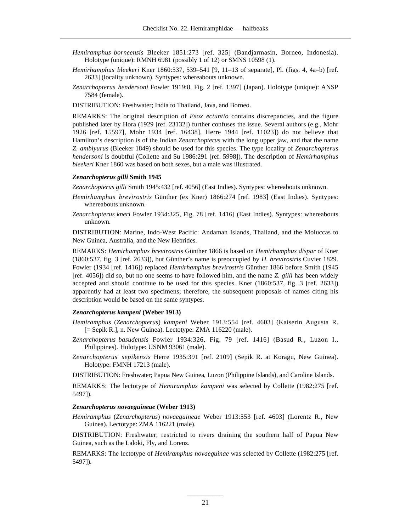- *Hemiramphus borneensis* Bleeker 1851:273 [ref. 325] (Bandjarmasin, Borneo, Indonesia). Holotype (unique): RMNH 6981 (possibly 1 of 12) or SMNS 10598 (1).
- *Hemirhamphus bleekeri* Kner 1860:537, 539–541 [9, 11–13 of separate], Pl. (figs. 4, 4a–b) [ref. 2633] (locality unknown). Syntypes: whereabouts unknown.
- *Zenarchopterus hendersoni* Fowler 1919:8, Fig. 2 [ref. 1397] (Japan). Holotype (unique): ANSP 7584 (female).

DISTRIBUTION: Freshwater; India to Thailand, Java, and Borneo.

REMARKS: The original description of *Esox ectuntio* contains discrepancies, and the figure published later by Hora (1929 [ref. 23132]) further confuses the issue. Several authors (e.g., Mohr 1926 [ref. 15597], Mohr 1934 [ref. 16438], Herre 1944 [ref. 11023]) do not believe that Hamilton's description is of the Indian *Zenarchopterus* with the long upper jaw, and that the name *Z. amblyurus* (Bleeker 1849) should be used for this species. The type locality of *Zenarchopterus hendersoni* is doubtful (Collette and Su 1986:291 [ref. 5998]). The description of *Hemirhamphus bleekeri* Kner 1860 was based on both sexes, but a male was illustrated.

# *Zenarchopterus gilli* **Smith 1945**

*Zenarchopterus gilli* Smith 1945:432 [ref. 4056] (East Indies). Syntypes: whereabouts unknown.

- *Hemirhamphus brevirostris* Günther (ex Kner) 1866:274 [ref. 1983] (East Indies). Syntypes: whereabouts unknown.
- *Zenarchopterus kneri* Fowler 1934:325, Fig. 78 [ref. 1416] (East Indies). Syntypes: whereabouts unknown.

DISTRIBUTION: Marine, Indo-West Pacific: Andaman Islands, Thailand, and the Moluccas to New Guinea, Australia, and the New Hebrides.

REMARKS: *Hemirhamphus brevirostris* Günther 1866 is based on *Hemirhamphus dispar* of Kner (1860:537, fig. 3 [ref. 2633]), but Günther's name is preoccupied by *H. brevirostris* Cuvier 1829. Fowler (1934 [ref. 1416]) replaced *Hemirhamphus brevirostris* Günther 1866 before Smith (1945 [ref. 4056]) did so, but no one seems to have followed him, and the name *Z. gilli* has been widely accepted and should continue to be used for this species. Kner (1860:537, fig. 3 [ref. 2633]) apparently had at least two specimens; therefore, the subsequent proposals of names citing his description would be based on the same syntypes.

# *Zenarchopterus kampeni* **(Weber 1913)**

- *Hemiramphus* (*Zenarchopterus*) *kampeni* Weber 1913:554 [ref. 4603] (Kaiserin Augusta R. [= Sepik R.], n. New Guinea). Lectotype: ZMA 116220 (male).
- *Zenarchopterus basudensis* Fowler 1934:326, Fig. 79 [ref. 1416] (Basud R., Luzon I., Philippines). Holotype: USNM 93061 (male).
- *Zenarchopterus sepikensis* Herre 1935:391 [ref. 2109] (Sepik R. at Koragu, New Guinea). Holotype: FMNH 17213 (male).

DISTRIBUTION: Freshwater; Papua New Guinea, Luzon (Philippine Islands), and Caroline Islands.

REMARKS: The lectotype of *Hemiramphus kampeni* was selected by Collette (1982:275 [ref. 5497]).

### *Zenarchopterus novaeguineae* **(Weber 1913)**

*Hemiramphus* (*Zenarchopterus*) *novaeguineae* Weber 1913:553 [ref. 4603] (Lorentz R., New Guinea). Lectotype: ZMA 116221 (male).

DISTRIBUTION: Freshwater; restricted to rivers draining the southern half of Papua New Guinea, such as the Laloki, Fly, and Lorenz.

REMARKS: The lectotype of *Hemiramphus novaeguinae* was selected by Collette (1982:275 [ref. 5497]).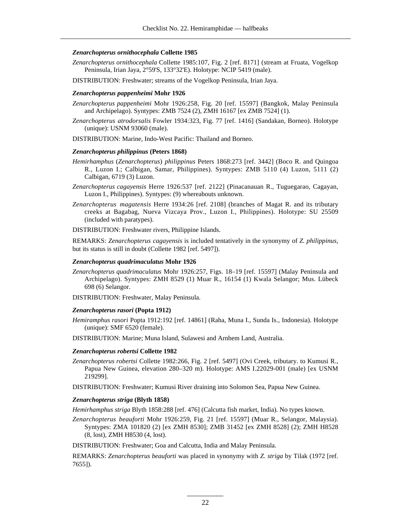# *Zenarchopterus ornithocephala* **Collette 1985**

- *Zenarchopterus ornithocephala* Collette 1985:107, Fig. 2 [ref. 8171] (stream at Fruata, Vogelkop Peninsula, Irian Jaya, 2°59'S, 133°32'E). Holotype: NCIP 5419 (male).
- DISTRIBUTION: Freshwater; streams of the Vogelkop Peninsula, Irian Jaya.

# *Zenarchopterus pappenheimi* **Mohr 1926**

- *Zenarchopterus pappenheimi* Mohr 1926:258, Fig. 20 [ref. 15597] (Bangkok, Malay Peninsula and Archipelago). Syntypes: ZMB 7524 (2), ZMH 16167 [ex ZMB 7524] (1).
- *Zenarchopterus atrodorsalis* Fowler 1934:323, Fig. 77 [ref. 1416] (Sandakan, Borneo). Holotype (unique): USNM 93060 (male).
- DISTRIBUTION: Marine, Indo-West Pacific: Thailand and Borneo.

# *Zenarchopterus philippinus* **(Peters 1868)**

- *Hemirhamphus* (*Zenarchopterus*) *philippinus* Peters 1868:273 [ref. 3442] (Boco R. and Quingoa R., Luzon I.; Calbigan, Samar, Philippines). Syntypes: ZMB 5110 (4) Luzon, 5111 (2) Calbigan, 6719 (3) Luzon.
- *Zenarchopterus cagayensis* Herre 1926:537 [ref. 2122] (Pinacanauan R., Tuguegarao, Cagayan, Luzon I., Philippines). Syntypes: (9) whereabouts unknown.
- *Zenarchopterus magatensis* Herre 1934:26 [ref. 2108] (branches of Magat R. and its tributary creeks at Bagabag, Nueva Vizcaya Prov., Luzon I., Philippines). Holotype: SU 25509 (included with paratypes).

DISTRIBUTION: Freshwater rivers, Philippine Islands.

REMARKS: *Zenarchopterus cagayensis* is included tentatively in the synonymy of *Z. philippinus,* but its status is still in doubt (Collette 1982 [ref. 5497]).

# *Zenarchopterus quadrimaculatus* **Mohr 1926**

*Zenarchopterus quadrimaculatus* Mohr 1926:257, Figs. 18–19 [ref. 15597] (Malay Peninsula and Archipelago). Syntypes: ZMH 8529 (1) Muar R., 16154 (1) Kwala Selangor; Mus. Lübeck 698 (6) Selangor.

DISTRIBUTION: Freshwater, Malay Peninsula.

# *Zenarchopterus rasori* **(Popta 1912)**

*Hemiramphus rasori* Popta 1912:192 [ref. 14861] (Raha, Muna I., Sunda Is., Indonesia). Holotype (unique): SMF 6520 (female).

DISTRIBUTION: Marine; Muna Island, Sulawesi and Arnhem Land, Australia.

# *Zenarchopterus robertsi* **Collette 1982**

- *Zenarchopterus robertsi* Collette 1982:266, Fig. 2 [ref. 5497] (Ovi Creek, tributary. to Kumusi R., Papua New Guinea, elevation 280–320 m). Holotype: AMS I.22029-001 (male) [ex USNM 219299].
- DISTRIBUTION: Freshwater; Kumusi River draining into Solomon Sea, Papua New Guinea.

# *Zenarchopterus striga* **(Blyth 1858)**

*Hemirhamphus striga* Blyth 1858:288 [ref. 476] (Calcutta fish market, India). No types known.

*Zenarchopterus beauforti* Mohr 1926:259, Fig. 21 [ref. 15597] (Muar R., Selangor, Malaysia). Syntypes: ZMA 101820 (2) [ex ZMH 8530]; ZMB 31452 [ex ZMH 8528] (2); ZMH H8528 (8, lost), ZMH H8530 (4, lost).

DISTRIBUTION: Freshwater; Goa and Calcutta, India and Malay Peninsula.

REMARKS: *Zenarchopterus beauforti* was placed in synonymy with *Z. striga* by Tilak (1972 [ref. 7655]).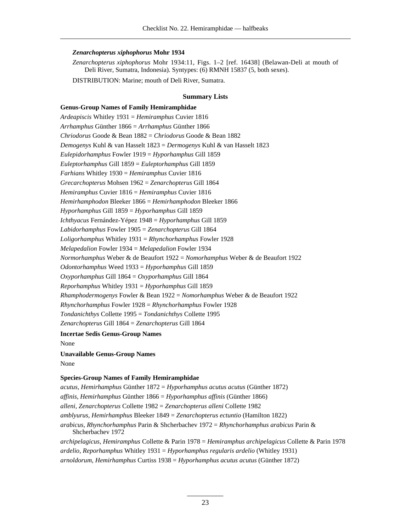# *Zenarchopterus xiphophorus* **Mohr 1934**

*Zenarchopterus xiphophorus* Mohr 1934:11, Figs. 1–2 [ref. 16438] (Belawan-Deli at mouth of Deli River, Sumatra, Indonesia). Syntypes: (6) RMNH 15837 (5, both sexes).

DISTRIBUTION: Marine; mouth of Deli River, Sumatra.

# **Summary Lists**

# **Genus-Group Names of Family Hemiramphidae**

*Ardeapiscis* Whitley 1931 = *Hemiramphus* Cuvier 1816 *Arrhamphus* Günther 1866 = *Arrhamphus* Günther 1866 *Chriodorus* Goode & Bean 1882 = *Chriodorus* Goode & Bean 1882 *Demogenys* Kuhl & van Hasselt 1823 = *Dermogenys* Kuhl & van Hasselt 1823 *Eulepidorhamphus* Fowler 1919 = *Hyporhamphus* Gill 1859 *Euleptorhamphus* Gill 1859 = *Euleptorhamphus* Gill 1859 *Farhians* Whitley 1930 = *Hemiramphus* Cuvier 1816 *Grecarchopterus* Mohsen 1962 = *Zenarchopterus* Gill 1864 *Hemiramphus* Cuvier 1816 = *Hemiramphus* Cuvier 1816 *Hemirhamphodon* Bleeker 1866 = *Hemirhamphodon* Bleeker 1866 *Hyporhamphus* Gill 1859 = *Hyporhamphus* Gill 1859 *Ichthyacus* Fernández-Yépez 1948 = *Hyporhamphus* Gill 1859 *Labidorhamphus* Fowler 1905 = *Zenarchopterus* Gill 1864 *Loligorhamphus* Whitley 1931 = *Rhynchorhamphus* Fowler 1928 *Melapedalion* Fowler 1934 = *Melapedalion* Fowler 1934 *Normorhamphus* Weber & de Beaufort 1922 = *Nomorhamphus* Weber & de Beaufort 1922 *Odontorhamphus* Weed 1933 = *Hyporhamphus* Gill 1859 *Oxyporhamphus* Gill 1864 = *Oxyporhamphus* Gill 1864 *Reporhamphus* Whitley 1931 = *Hyporhamphus* Gill 1859 *Rhamphodermogenys* Fowler & Bean 1922 = *Nomorhamphus* Weber & de Beaufort 1922 *Rhynchorhamphus* Fowler 1928 = *Rhynchorhamphus* Fowler 1928 *Tondanichthys* Collette 1995 = *Tondanichthys* Collette 1995 *Zenarchopterus* Gill 1864 = *Zenarchopterus* Gill 1864 **Incertae Sedis Genus-Group Names** None

# **Unavailable Genus-Group Names**

None

# **Species-Group Names of Family Hemiramphidae**

*acutus, Hemirhamphus* Günther 1872 = *Hyporhamphus acutus acutus* (Günther 1872) *affinis, Hemirhamphus* Günther 1866 = *Hyporhamphus affinis* (Günther 1866) *alleni, Zenarchopterus* Collette 1982 = *Zenarchopterus alleni* Collette 1982 *amblyurus, Hemirhamphus* Bleeker 1849 = *Zenarchopterus ectuntio* (Hamilton 1822) *arabicus, Rhynchorhamphus* Parin & Shcherbachev 1972 = *Rhynchorhamphus arabicus* Parin & Shcherbachev 1972 *archipelagicus, Hemiramphus* Collette & Parin 1978 = *Hemiramphus archipelagicus* Collette & Parin 1978 *ardelio, Reporhamphus* Whitley 1931 = *Hyporhamphus regularis ardelio* (Whitley 1931) *arnoldorum, Hemirhamphus* Curtiss 1938 = *Hyporhamphus acutus acutus* (Günther 1872)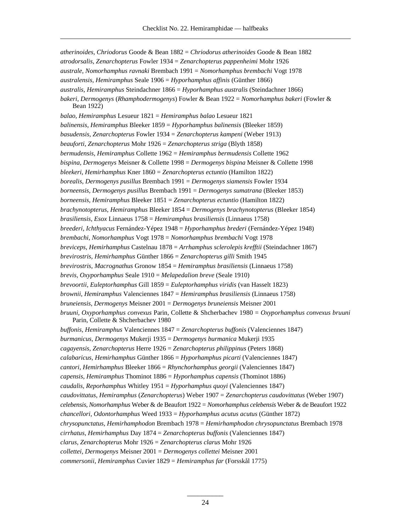*atherinoides, Chriodorus* Goode & Bean 1882 = *Chriodorus atherinoides* Goode & Bean 1882 *atrodorsalis, Zenarchopterus* Fowler 1934 = *Zenarchopterus pappenheimi* Mohr 1926 *australe, Nomorhamphus ravnaki* Brembach 1991 = *Nomorhamphus brembachi* Vogt 1978 *australensis, Hemiramphus* Seale 1906 = *Hyporhamphus affinis* (Günther 1866) *australis, Hemiramphus* Steindachner 1866 = *Hyporhamphus australis* (Steindachner 1866) *bakeri, Dermogenys* (*Rhamphodermogenys*) Fowler & Bean 1922 = *Nomorhamphus bakeri* (Fowler & Bean 1922) *balao, Hemiramphus* Lesueur 1821 = *Hemiramphus balao* Lesueur 1821 *balinensis, Hemiramphus* Bleeker 1859 = *Hyporhamphus balinensis* (Bleeker 1859) *basudensis, Zenarchopterus* Fowler 1934 = *Zenarchopterus kampeni* (Weber 1913) *beauforti, Zenarchopterus* Mohr 1926 = *Zenarchopterus striga* (Blyth 1858) *bermudensis, Hemiramphus* Collette 1962 = *Hemiramphus bermudensis* Collette 1962 *bispina, Dermogenys* Meisner & Collette 1998 = *Dermogenys bispina* Meisner & Collette 1998 *bleekeri, Hemirhamphus* Kner 1860 = *Zenarchopterus ectuntio* (Hamilton 1822) *borealis, Dermogenys pusillus* Brembach 1991 = *Dermogenys siamensis* Fowler 1934 *borneensis, Dermogenys pusillus* Brembach 1991 = *Dermogenys sumatrana* (Bleeker 1853) *borneensis, Hemiramphus* Bleeker 1851 = *Zenarchopterus ectuntio* (Hamilton 1822) *brachynotopterus, Hemiramphus* Bleeker 1854 = *Dermogenys brachynotopterus* (Bleeker 1854) *brasiliensis, Esox* Linnaeus 1758 = *Hemiramphus brasiliensis* (Linnaeus 1758) *breederi, Ichthyacus* Fernández-Yépez 1948 = *Hyporhamphus brederi* (Fernández-Yépez 1948) *brembachi, Nomorhamphus* Vogt 1978 = *Nomorhamphus brembachi* Vogt 1978 *breviceps, Hemirhamphus* Castelnau 1878 = *Arrhamphus sclerolepis krefftii* (Steindachner 1867) *brevirostris, Hemirhamphus* Günther 1866 = *Zenarchopterus gilli* Smith 1945 *brevirostris, Macrognathus* Gronow 1854 = *Hemiramphus brasiliensis* (Linnaeus 1758) *brevis, Oxyporhamphus* Seale 1910 = *Melapedalion breve* (Seale 1910) *brevoortii, Euleptorhamphus* Gill 1859 = *Euleptorhamphus viridis* (van Hasselt 1823) *brownii, Hemiramphus* Valenciennes 1847 = *Hemiramphus brasiliensis* (Linnaeus 1758) *bruneiensis, Dermogenys* Meisner 2001 = *Dermogenys bruneiensis* Meisner 2001 *bruuni, Oxyporhamphus convexus Parin, Collette & Shcherbachev 1980 = Oxyporhamphus convexus bruuni* Parin, Collette & Shcherbachev 1980 *buffonis, Hemiramphus* Valenciennes 1847 = *Zenarchopterus buffonis* (Valenciennes 1847) *burmanicus, Dermogenys* Mukerji 1935 = *Dermogenys burmanica* Mukerji 1935 *cagayensis, Zenarchopterus* Herre 1926 = *Zenarchopterus philippinus* (Peters 1868) *calabaricus, Hemirhamphus* Günther 1866 = *Hyporhamphus picarti* (Valenciennes 1847) *cantori, Hemirhamphus* Bleeker 1866 = *Rhynchorhamphus georgii* (Valenciennes 1847) *capensis, Hemiramphus* Thominot 1886 = *Hyporhamphus capensis* (Thominot 1886) *caudalis, Reporhamphus* Whitley 1951 = *Hyporhamphus quoyi* (Valenciennes 1847) *caudovittatus, Hemiramphus* (*Zenarchopterus*) Weber 1907 = *Zenarchopterus caudovittatus* (Weber 1907) *celebensis, Nom orhamp hus* Weber & de Beaufort 1922 = *Nom orhamp hus celebens is* Weber & de Beaufort 1922 *chancellori, Odontorhamphus* Weed 1933 = *Hyporhamphus acutus acutus* (Günther 1872) *chrysopunctatus, Hemirhamphodon* Brembach 1978 = *Hemirhamphodon chrysopunctatus* Brembach 1978 *cirrhatus, Hemirhamphus* Day 1874 = *Zenarchopterus buffonis* (Valenciennes 1847) *clarus, Zenarchopterus* Mohr 1926 = *Zenarchopterus clarus* Mohr 1926 *collettei, Dermogenys* Meisner 2001 = *Dermogenys collettei* Meisner 2001 *commersonii, Hemiramphus* Cuvier 1829 = *Hemiramphus far* (Forsskål 1775)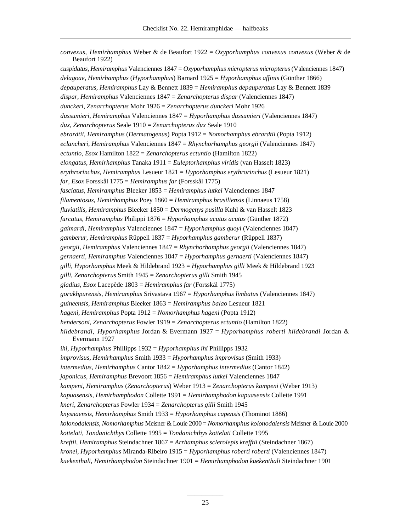| convexus, Hemirhamphus Weber & de Beaufort $1922 = Oxy$ porhamphus convexus convexus (Weber & de<br>Beaufort 1922) |
|--------------------------------------------------------------------------------------------------------------------|
| cuspidatus, Hemiramphus Valenciennes $1847 = Oxy$ porhamphus micropterus micropterus (Valenciennes 1847)           |
| $delagoae$ , Hemirhamphus (Hyporhamphus) Barnard 1925 = Hyporhamphus affinis (Günther 1866)                        |
| depauperatus, Hemiramphus Lay & Bennett 1839 = Hemiramphus depauperatus Lay & Bennett 1839                         |
| dispar, Hemiramphus Valenciennes $1847 = Zenarchopterus$ dispar (Valenciennes 1847)                                |
| dunckeri, Zenarchopterus Mohr 1926 = Zenarchopterus dunckeri Mohr 1926                                             |
| dussumieri, Hemiramphus Valenciennes $1847 = Hyporhamphus$ dussumieri (Valenciennes 1847)                          |
| dux, Zenarchopterus Seale 1910 = Zenarchopterus dux Seale 1910                                                     |
| ebrardtii, Hemiramphus (Dermatogenus) Popta 1912 = Nomorhamphus ebrardtii (Popta 1912)                             |
| eclancheri, Hemiramphus Valenciennes $1847 = Rh$ ynchorhamphus georgii (Valenciennes 1847)                         |
| ectuntio, Esox Hamilton $1822 = Zenarchopterus$ ectuntio (Hamilton 1822)                                           |
| elongatus, Hemirhamphus Tanaka 1911 = Euleptorhamphus viridis (van Hasselt 1823)                                   |
| erythrorinchus, Hemiramphus Lesueur $1821 = Hyporhamphus$ erythrorinchus (Lesueur 1821)                            |
| far, Esox Forsskål 1775 = Hemiramphus far (Forsskål 1775)                                                          |
| fasciatus, Hemiramphus Bleeker 1853 = Hemiramphus lutkei Valenciennes 1847                                         |
| filamentosus, Hemirhamphus Poey 1860 = Hemiramphus brasiliensis (Linnaeus 1758)                                    |
| fluviatilis, Hemiramphus Bleeker $1850 = Dermogenys pusilla Kuhl & van Hasselt 1823$                               |
| furcatus, Hemiramphus Philippi 1876 = Hyporhamphus acutus acutus (Günther 1872)                                    |
| gaimardi, Hemiramphus Valenciennes 1847 = Hyporhamphus quoyi (Valenciennes 1847)                                   |
| gamberur, Hemiramphus Rüppell $1837 = Hyporhamphus gamberur$ (Rüppell 1837)                                        |
| georgii, Hemiramphus Valenciennes $1847 = Rhynchorhamphus georgii$ (Valenciennes 1847)                             |
| gernaerti, Hemiramphus Valenciennes $1847 = Hyporhamphus gernaerti$ (Valenciennes 1847)                            |
| gilli, Hyporhamphus Meek & Hildebrand 1923 = Hyporhamphus gilli Meek & Hildebrand 1923                             |
| gilli, Zenarchopterus Smith $1945 = Zenarchopterus$ gilli Smith 1945                                               |
| gladius, Esox Lacepède 1803 = Hemiramphus far (Forsskål 1775)                                                      |
| gorakhpurensis, Hemiramphus Srivastava 1967 = Hyporhamphus limbatus (Valenciennes 1847)                            |
| guineensis, Hemiramphus Bleeker $1863 =$ Hemiramphus balao Lesueur 1821                                            |
| hageni, Hemiramphus Popta 1912 = Nomorhamphus hageni (Popta 1912)                                                  |
| hendersoni, Zenarchopterus Fowler 1919 = Zenarchopterus ectuntio (Hamilton 1822)                                   |
| hildebrandi, Hyporhamphus Jordan & Evermann 1927 = Hyporhamphus roberti hildebrandi Jordan &<br>Evermann 1927      |
| ihi, Hyporhamphus Phillipps $1932 = Hyporhamphus ihi$ Phillipps 1932                                               |
| $improvisus$ , Hemirhamphus Smith 1933 = Hyporhamphus improvisus (Smith 1933)                                      |
| intermedius, Hemirhamphus Cantor $1842 = Hyporhamphus$ intermedius (Cantor 1842)                                   |
| japonicus, Hemiramphus Brevoort 1856 = Hemiramphus lutkei Valenciennes 1847                                        |
| kampeni, Hemiramphus (Zenarchopterus) Weber 1913 = Zenarchopterus kampeni (Weber 1913)                             |
| kapuasensis, Hemirhamphodon Collette 1991 = Hemirhamphodon kapuasensis Collette 1991                               |
| kneri, Zenarchopterus Fowler 1934 = Zenarchopterus gilli Smith 1945                                                |
| $knysnaensis$ , Hemirhamphus Smith 1933 = Hyporhamphus capensis (Thominot 1886)                                    |
| kolonodalensis, Nomorhamphus Meisner & Louie 2000 = Nomorhamphus kolonodalensis Meisner & Louie 2000               |
| kottelati, Tondanichthys Collette 1995 = Tondanichthys kottelati Collette 1995                                     |
| kreftii, Hemiramphus Steindachner 1867 = Arrhamphus sclerolepis krefftii (Steindachner 1867)                       |
| kronei, Hyporhamphus Miranda-Ribeiro 1915 = Hyporhamphus roberti roberti (Valenciennes 1847)                       |
| kuekenthali, Hemirhamphodon Steindachner 1901 = Hemirhamphodon kuekenthali Steindachner 1901                       |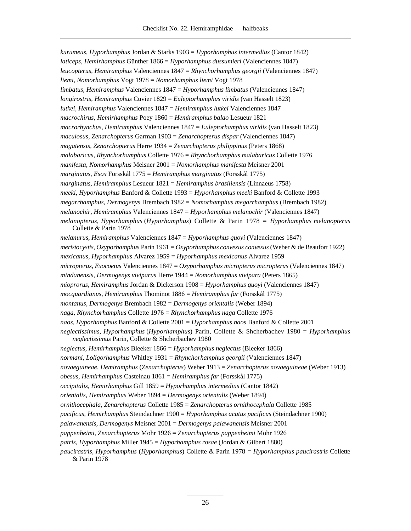*kurumeus, Hyporhamphus* Jordan & Starks 1903 = *Hyporhamphus intermedius* (Cantor 1842) *laticeps, Hemirhamphus* Günther 1866 = *Hyporhamphus dussumieri* (Valenciennes 1847) *leucopterus, Hemiramphus* Valenciennes 1847 = *Rhynchorhamphus georgii* (Valenciennes 1847) *liemi, Nomorhamphus* Vogt 1978 = *Nomorhamphus liemi* Vogt 1978 *limbatus, Hemiramphus* Valenciennes 1847 = *Hyporhamphus limbatus* (Valenciennes 1847) *longirostris, Hemiramphus* Cuvier 1829 = *Euleptorhamphus viridis* (van Hasselt 1823) *lutkei, Hemiramphus* Valenciennes 1847 = *Hemiramphus lutkei* Valenciennes 1847 *macrochirus, Hemirhamphus* Poey 1860 = *Hemiramphus balao* Lesueur 1821 *macrorhynchus, Hemiramphus* Valenciennes 1847 = *Euleptorhamphus viridis* (van Hasselt 1823) *maculosus, Zenarchopterus* Garman 1903 = *Zenarchopterus dispar* (Valenciennes 1847) *magatensis, Zenarchopterus* Herre 1934 = *Zenarchopterus philippinus* (Peters 1868) *malabaricus, Rhynchorhamphus* Collette 1976 = *Rhynchorhamphus malabaricus* Collette 1976 *manifesta, Nomorhamphus* Meisner 2001 = *Nomorhamphus manifesta* Meisner 2001 *marginatus, Esox* Forsskål 1775 = *Hemiramphus marginatus* (Forsskål 1775) *marginatus, Hemiramphus* Lesueur 1821 = *Hemiramphus brasiliensis* (Linnaeus 1758) *meeki, Hyporhamphus* Banford & Collette 1993 = *Hyporhamphus meeki* Banford & Collette 1993 *megarrhamphus, Dermogenys* Brembach 1982 = *Nomorhamphus megarrhamphus* (Brembach 1982) *melanochir, Hemiramphus* Valenciennes 1847 = *Hyporhamphus melanochir* (Valenciennes 1847) *melanopterus, Hyporhamphus* (*Hyporhamphus*) Collette & Parin 1978 = *Hyporhamphus melanopterus* Collette & Parin 1978 *melanurus, Hemiramphus* Valenciennes 1847 = *Hyporhamphus quoyi* (Valenciennes 1847) *meristocystis, Oxyporhamphus Parin 1961 = Oxyporhamphus convexus convexus* (Weber & de Beaufort 1922) *mexicanus, Hyporhamphus* Alvarez 1959 = *Hyporhamphus mexicanus* Alvarez 1959 *micropterus, Exocoetus Valenciennes 1847 = Oxyporhamphus micropterus micropterus (Valenciennes 1847) mindanensis, Dermogenys viviparus* Herre 1944 = *Nomorhamphus vivipara* (Peters 1865) *mioprorus, Hemiramphus* Jordan & Dickerson 1908 = *Hyporhamphus quoyi* (Valenciennes 1847) *mocquardianus, Hemiramphus* Thominot 1886 = *Hemiramphus far* (Forsskål 1775) *montanus, Dermogenys* Brembach 1982 = *Dermogenys orientalis* (Weber 1894) *naga, Rhynchorhamphus* Collette 1976 = *Rhynchorhamphus naga* Collette 1976 *naos, Hyporhamphus* Banford & Collette 2001 = *Hyporhamphus naos* Banford & Collette 2001 *neglectissimus, Hyporhamphus* (*Hyporhamphus*) Parin, Collette & Shcherbachev 1980 = *Hyporhamphus neglectissimus* Parin, Collette & Shcherbachev 1980 *neglectus, Hemirhamphus* Bleeker 1866 = *Hyporhamphus neglectus* (Bleeker 1866) *normani, Loligorhamphus* Whitley 1931 = *Rhynchorhamphus georgii* (Valenciennes 1847) *novaeguineae, Hemiramphus* (*Zenarchopterus*) Weber 1913 = *Zenarchopterus novaeguineae* (Weber 1913) *obesus, Hemirhamphus* Castelnau 1861 = *Hemiramphus far* (Forsskål 1775) *occipitalis, Hemirhamphus* Gill 1859 = *Hyporhamphus intermedius* (Cantor 1842) *orientalis, Hemiramphus* Weber 1894 = *Dermogenys orientalis* (Weber 1894) *ornithocephala, Zenarchopterus* Collette 1985 = *Zenarchopterus ornithocephala* Collette 1985 *pacificus, Hemirhamphus* Steindachner 1900 = *Hyporhamphus acutus pacificus* (Steindachner 1900) *palawanensis, Dermogenys* Meisner 2001 = *Dermogenys palawanensis* Meisner 2001 *pappenheimi, Zenarchopterus* Mohr 1926 = *Zenarchopterus pappenheimi* Mohr 1926 *patris, Hyporhamphus* Miller 1945 = *Hyporhamphus rosae* (Jordan & Gilbert 1880) *paucir astris, Hyporhamphus (Hyporhamphus)* Collette & Parin 1978 = *Hyporhamphus paucir astris* Collette

& Parin 1978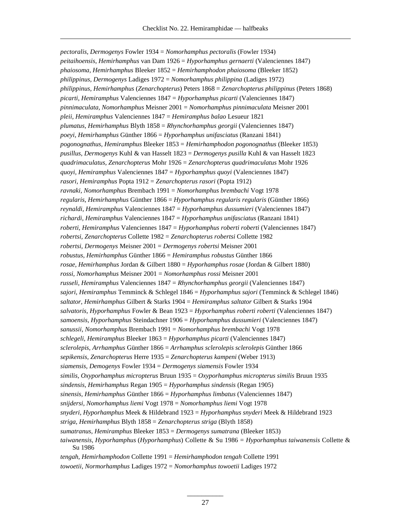*pectoralis, Dermogenys* Fowler 1934 = *Nomorhamphus pectoralis* (Fowler 1934) *peitaihoensis, Hemirhamphus* van Dam 1926 = *Hyporhamphus gernaerti* (Valenciennes 1847) *phaiosoma, Hemirhamphus* Bleeker 1852 = *Hemirhamphodon phaiosoma* (Bleeker 1852) *philippinus, Dermogenys* Ladiges 1972 = *Nomorhamphus philippina* (Ladiges 1972) *philippinus, Hemirhamphus* (*Zenarchopterus*) Peters 1868 = *Zenarchopterus philippinus* (Peters 1868) *picarti, Hemiramphus* Valenciennes 1847 = *Hyporhamphus picarti* (Valenciennes 1847) *pinnimaculata, Nomorhamphus* Meisner 2001 = *Nomorhamphus pinnimaculata* Meisner 2001 *pleii, Hemiramphus* Valenciennes 1847 = *Hemiramphus balao* Lesueur 1821 *plumatus, Hemirhamphus* Blyth 1858 = *Rhynchorhamphus georgii* (Valenciennes 1847) *poeyi, Hemirhamphus* Günther 1866 = *Hyporhamphus unifasciatus* (Ranzani 1841) *pogonognathus, Hemiramphus* Bleeker 1853 = *Hemirhamphodon pogonognathus* (Bleeker 1853) *pusillus, Dermogenys* Kuhl & van Hasselt 1823 = *Dermogenys pusilla* Kuhl & van Hasselt 1823 *quadrimaculatus, Zenarchopterus* Mohr 1926 = *Zenarchopterus quadrimaculatus* Mohr 1926 *quoyi, Hemiramphus* Valenciennes 1847 = *Hyporhamphus quoyi* (Valenciennes 1847) *rasori, Hemiramphus* Popta 1912 = *Zenarchopterus rasori* (Popta 1912) *ravnaki, Nomorhamphus* Brembach 1991 = *Nomorhamphus brembachi* Vogt 1978 *regularis, Hemirhamphus* Günther 1866 = *Hyporhamphus regularis regularis* (Günther 1866) *reynaldi, Hemiramphus* Valenciennes 1847 = *Hyporhamphus dussumieri* (Valenciennes 1847) *richardi, Hemiramphus* Valenciennes 1847 = *Hyporhamphus unifasciatus* (Ranzani 1841) *roberti, Hemiramphus* Valenciennes 1847 = *Hyporhamphus roberti roberti* (Valenciennes 1847) *robertsi, Zenarchopterus* Collette 1982 = *Zenarchopterus robertsi* Collette 1982 *robertsi, Dermogenys* Meisner 2001 = *Dermogenys robertsi* Meisner 2001 *robustus, Hemirhamphus* Günther 1866 = *Hemiramphus robustus* Günther 1866 *rosae, Hemirhamphus* Jordan & Gilbert 1880 = *Hyporhamphus rosae* (Jordan & Gilbert 1880) *rossi, Nomorhamphus* Meisner 2001 = *Nomorhamphus rossi* Meisner 2001 *russeli, Hemiramphus* Valenciennes 1847 = *Rhynchorhamphus georgii* (Valenciennes 1847) *sajori, Hemiramphus* Temminck & Schlegel 1846 = *Hyporhamphus sajori* (Temminck & Schlegel 1846) *saltator, Hemirhamphus* Gilbert & Starks 1904 = *Hemiramphus saltator* Gilbert & Starks 1904 *salvatoris, Hyporhamphus* Fowler & Bean 1923 = *Hyporhamphus roberti roberti* (Valenciennes 1847) *samoensis, Hyporhamphus* Steindachner 1906 = *Hyporhamphus dussumieri* (Valenciennes 1847) *sanussii, Nomorhamphus* Brembach 1991 = *Nomorhamphus brembachi* Vogt 1978 *schlegeli, Hemiramphus* Bleeker 1863 = *Hyporhamphus picarti* (Valenciennes 1847) *sclerolepis, Arrhamphus* Günther 1866 = *Arrhamphus sclerolepis sclerolepis* Günther 1866 *sepikensis, Zenarchopterus* Herre 1935 = *Zenarchopterus kampeni* (Weber 1913) *siamensis, Demogenys* Fowler 1934 = *Dermogenys siamensis* Fowler 1934 *similis, Oxyporhamphus micropterus* Bruun 1935 = *Oxyporhamphus micropterus similis* Bruun 1935 *sindensis, Hemirhamphus* Regan 1905 = *Hyporhamphus sindensis* (Regan 1905) *sinensis, Hemirhamphus* Günther 1866 = *Hyporhamphus limbatus* (Valenciennes 1847) *snijdersi, Nomorhamphus liemi* Vogt 1978 = *Nomorhamphus liemi* Vogt 1978 *snyderi, Hyporhamphus* Meek & Hildebrand 1923 = *Hyporhamphus snyderi* Meek & Hildebrand 1923 *striga, Hemirhamphus* Blyth 1858 = *Zenarchopterus striga* (Blyth 1858) *sumatranus, Hemiramphus* Bleeker 1853 = *Dermogenys sumatrana* (Bleeker 1853) *taiwanensis, Hyporhamphus* (*Hyporhamphus*) Collette & Su 1986 = *Hyporhamphus taiwanensis* Collette & Su 1986 *tengah, Hemirhamphodon* Collette 1991 = *Hemirhamphodon tengah* Collette 1991

*towoetii, Normorhamphus* Ladiges 1972 = *Nomorhamphus towoetii* Ladiges 1972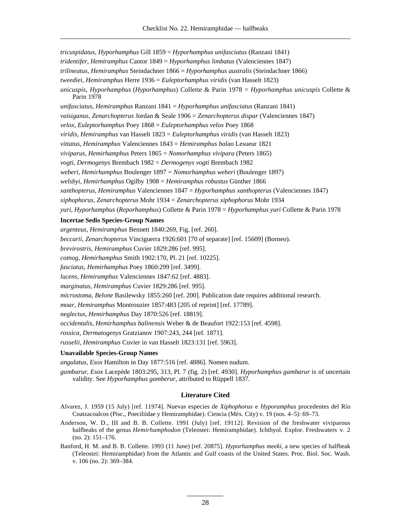*tricuspidatus, Hyporhamphus* Gill 1859 = *Hyporhamphus unifasciatus* (Ranzani 1841) *tridentifer, Hemiramphus* Cantor 1849 = *Hyporhamphus limbatus* (Valenciennes 1847) *trilineatus, Hemiramphus* Steindachner 1866 = *Hyporhamphus australis* (Steindachner 1866) *tweediei, Hemiramphus* Herre 1936 = *Euleptorhamphus viridis* (van Hasselt 1823) *unicuspis, Hyporhamphus* (*Hyporhamphus*) Collette & Parin 1978 = *Hyporhamphus unicuspis* Collette & Parin 1978 *unifasciatus, Hemiramphus* Ranzani 1841 = *Hyporhamphus unifasciatus* (Ranzani 1841) *vaisiganus, Zenarchopterus* Jordan & Seale 1906 = *Zenarchopterus dispar* (Valenciennes 1847) *velox, Euleptorhamphus* Poey 1868 = *Euleptorhamphus velox* Poey 1868 *viridis, Hemiramphus* van Hasselt 1823 = *Euleptorhamphus viridis* (van Hasselt 1823) *vittatus, Hemiramphus* Valenciennes 1843 = *Hemiramphus balao* Lesueur 1821 *viviparus, Hemirhamphus* Peters 1865 = *Nomorhamphus vivipara* (Peters 1865) *vogti, Dermogenys* Brembach 1982 = *Dermogenys vogti* Brembach 1982 *weberi, Hemirhamphus* Boulenger 1897 = *Nomorhamphus weberi* (Boulenger 1897) *welsbyi, Hemirhamphus* Ogilby 1908 = *Hemiramphus robustus* Günther 1866 *xanthopterus, Hemiramphus* Valenciennes 1847 = *Hyporhamphus xanthopterus* (Valenciennes 1847) *xiphophorus, Zenarchopterus* Mohr 1934 = *Zenarchopterus xiphophorus* Mohr 1934 *yuri, Hyporhamphus* (*Reporhamphus*) Collette & Parin 1978 = *Hyporhamphus yuri* Collette & Parin 1978 **Incertae Sedis Species-Group Names** *argenteus, Hemiramphus* Bennett 1840:269, Fig. [ref. 260].

# *beccarii, Zenarchopterus* Vinciguerra 1926:601 [70 of separate] [ref. 15609] (Borneo).

*brevirostris, Hemiramphus* Cuvier 1829:286 [ref. 995].

*cotnog, Hemirhamphus* Smith 1902:170, Pl. 21 [ref. 10225].

*fasciatus, Hemirhamphus* Poey 1860:299 [ref. 3499].

*lucens, Hemiramphus* Valenciennes 1847:62 [ref. 4883].

*marginatus, Hemiramphus* Cuvier 1829:286 [ref. 995].

*microstoma, Belone* Basilewsky 1855:260 [ref. 200]. Publication date requires additional research.

*moar, Hemiramphus* Montrouzier 1857:483 [205 of reprint] [ref. 17789].

*neglectus, Hemirhamphus* Day 1870:526 [ref. 18819].

*occidentalis, Hemirhamphus balinensis* Weber & de Beaufort 1922:153 [ref. 4598].

*rossica, Dermatogenys* Gratzianov 1907:243, 244 [ref. 1871].

*russelii, Hemiramphus* Cuvier in van Hasselt 1823:131 [ref. 5963].

# **Unavailable Species-Group Names**

*angulatus, Esox* Hamilton in Day 1877:516 [ref. 4886]. Nomen nudum.

gambarur, Esox Lacepède 1803:295, 313, Pl. 7 (fig. 2) [ref. 4930]. *Hyporhamphus gambarur* is of uncertain validity. See *Hyporhamphus gamberur,* attributed to Rüppell 1837.

# **Literature Cited**

- Alvarez, J. 1959 (15 July) [ref. 11974]. Nuevas especies de *Xiphophorus* e *Hyporamphus* procedentes del Río Coatzacoalcos (Pisc., Poeciliidae y Hemiramphidae). Ciencia (Méx. City) v. 19 (nos. 4–5): 69–73.
- Anderson, W. D., III and B. B. Collette. 1991 (July) [ref. 19112]. Revision of the freshwater viviparous halfbeaks of the genus *Hemirhamphodon* (Teleostei: Hemiramphidae). Ichthyol. Explor. Freshwaters v. 2 (no. 2): 151–176.
- Banford, H. M. and B. B. Collette. 1993 (11 June) [ref. 20875]. *Hyporhamphus meeki,* a new species of halfbeak (Teleostei: Hemiramphidae) from the Atlantic and Gulf coasts of the United States. Proc. Biol. Soc. Wash. v. 106 (no. 2): 369–384.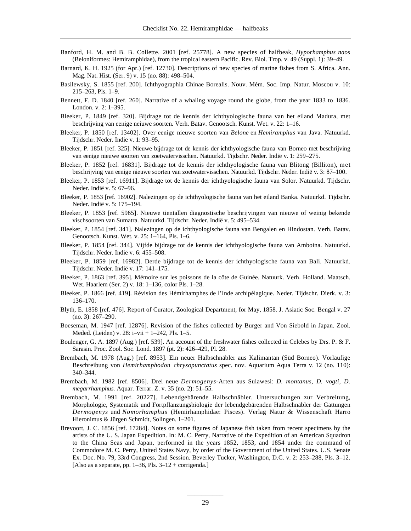- Banford, H. M. and B. B. Collette. 2001 [ref. 25778]. A new species of halfbeak, *Hyporhamphus naos* (Beloniformes: Hemiramphidae), from the tropical eastern Pacific. Rev. Biol. Trop. v. 49 (Suppl. 1): 39–49.
- Barnard, K. H. 1925 (for Apr.) [ref. 12730]. Descriptions of new species of marine fishes from S. Africa. Ann. Mag. Nat. Hist. (Ser. 9) v. 15 (no. 88): 498–504.
- Basilewsky, S. 1855 [ref. 200]. Ichthyographia Chinae Borealis. Nouv. Mém. Soc. Imp. Natur. Moscou v. 10: 215–263, Pls. 1–9.
- Bennett, F. D. 1840 [ref. 260]. Narrative of a whaling voyage round the globe, from the year 1833 to 1836. London. v. 2: 1–395.
- Bleeker, P. 1849 [ref. 320]. Bijdrage tot de kennis der ichthyologische fauna van het eiland Madura, met beschrijving van eenige neiuwe soorten. Verh. Batav. Genootsch. Kunst. Wet. v. 22: 1–16.
- Bleeker, P. 1850 [ref. 13402]. Over eenige nieuwe soorten van *Belone* en *Hemiramphus* van Java. Natuurkd. Tijdschr. Neder. Indië v. 1: 93–95.
- Bleeker, P. 1851 [ref. 325]. Nieuwe bijdrage tot de kennis der ichthyologische fauna van Borneo met beschrijving van eenige nieuwe soorten van zoetwatervisschen. Natuurkd. Tijdschr. Neder. Indië v. 1: 259–275.
- Bleeker, P. 1852 [ref. 16831]. Bijdrage tot de kennis der ichthyologische fauna van Blitong (Billiton), met beschrijving van eenige nieuwe soorten van zoetwatervisschen. Natuurkd. Tijdschr. Neder. Indië v. 3: 87–100.
- Bleeker, P. 1853 [ref. 16911]. Bijdrage tot de kennis der ichthyologische fauna van Solor. Natuurkd. Tijdschr. Neder. Indië v. 5: 67–96.
- Bleeker, P. 1853 [ref. 16902]. Nalezingen op de ichthyologische fauna van het eiland Banka. Natuurkd. Tijdschr. Neder. Indië v. 5: 175–194.
- Bleeker, P. 1853 [ref. 5965]. Nieuwe tientallen diagnostische beschrijvingen van nieuwe of weinig bekende vischsoorten van Sumatra. Natuurkd. Tijdschr. Neder. Indië v. 5: 495–534.
- Bleeker, P. 1854 [ref. 341]. Nalezingen op de ichthyologische fauna van Bengalen en Hindostan. Verh. Batav. Genootsch. Kunst. Wet. v. 25: 1–164, Pls. 1–6.
- Bleeker, P. 1854 [ref. 344]. Vijfde bijdrage tot de kennis der ichthyologische fauna van Amboina. Natuurkd. Tijdschr. Neder. Indië v. 6: 455–508.
- Bleeker, P. 1859 [ref. 16982]. Derde bijdrage tot de kennis der ichthyologische fauna van Bali. Natuurkd. Tijdschr. Neder. Indië v. 17: 141–175.
- Bleeker, P. 1863 [ref. 395]. Mémoire sur les poissons de la côte de Guinée. Natuurk. Verh. Holland. Maatsch. Wet. Haarlem (Ser. 2) v. 18: 1–136, color Pls. 1–28.
- Bleeker, P. 1866 [ref. 419]. Révision des Hémirhamphes de l'Inde archipélagique. Neder. Tijdschr. Dierk. v. 3: 136–170.
- Blyth, E. 1858 [ref. 476]. Report of Curator, Zoological Department, for May, 1858. J. Asiatic Soc. Bengal v. 27 (no. 3): 267–290.
- Boeseman, M. 1947 [ref. 12876]. Revision of the fishes collected by Burger and Von Siebold in Japan. Zool. Meded. (Leiden) v. 28: i–vii + 1–242, Pls. 1–5.
- Boulenger, G. A. 1897 (Aug.) [ref. 539]. An account of the freshwater fishes collected in Celebes by Drs. P. & F. Sarasin. Proc. Zool. Soc. Lond. 1897 (pt. 2): 426–429, Pl. 28.
- Brembach, M. 1978 (Aug.) [ref. 8953]. Ein neuer Halbschnäbler aus Kalimantan (Süd Borneo). Vorläufige Beschreibung von *Hemirhamphodon chrysopunctatus* spec. nov. Aquarium Aqua Terra v. 12 (no. 110): 340–344.
- Brembach, M. 1982 [ref. 8506]. Drei neue *Dermogenys*-Arten aus Sulawesi: *D. montanus, D. vogti, D. megarrhamphus.* Aquar. Terrar. Z. v. 35 (no. 2): 51–55.
- Brembach, M. 1991 [ref. 20227]. Lebendgebärende Halbschnäbler. Untersuchungen zur Verbreitung, Morphologie, Systematik und Fortpflanzungsbiologie der lebendgebärenden Halbschnäbler der Gattungen *Dermogenys* und *Nomorhamphus* (Hemirhamphidae: Pisces). Verlag Natur & Wissenschaft Harro Hieronimus & Jürgen Schmidt, Solingen. 1–201.
- Brevoort, J. C. 1856 [ref. 17284]. Notes on some figures of Japanese fish taken from recent specimens by the artists of the U. S. Japan Expedition. In: M. C. Perry, Narrative of the Expedition of an American Squadron to the China Seas and Japan, performed in the years 1852, 1853, and 1854 under the command of Commodore M. C. Perry, United States Navy, by order of the Government of the United States. U.S. Senate Ex. Doc. No. 79, 33rd Congress, 2nd Session. Beverley Tucker, Washington, D.C. v. 2: 253–288, Pls. 3–12. [Also as a separate, pp.  $1-36$ , Pls.  $3-12$  + corrigenda.]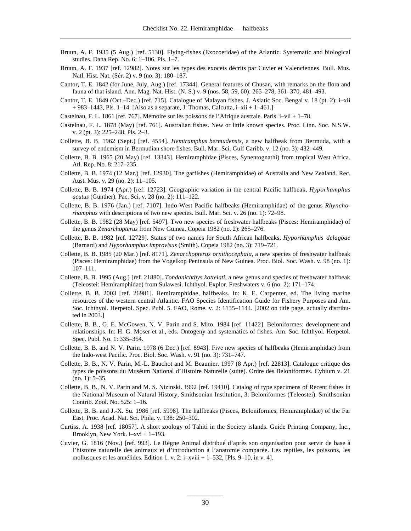- Bruun, A. F. 1935 (5 Aug.) [ref. 5130]. Flying-fishes (Exocoetidae) of the Atlantic. Systematic and biological studies. Dana Rep. No. 6: 1–106, Pls. 1–7.
- Bruun, A. F. 1937 [ref. 12982]. Notes sur les types des exocets décrits par Cuvier et Valenciennes. Bull. Mus. Natl. Hist. Nat. (Sér. 2) v. 9 (no. 3): 180–187.
- Cantor, T. E. 1842 (for June, July, Aug.) [ref. 17344]. General features of Chusan, with remarks on the flora and fauna of that island. Ann. Mag. Nat. Hist. (N. S.) v. 9 (nos. 58, 59, 60): 265–278, 361–370, 481–493.
- Cantor, T. E. 1849 (Oct.–Dec.) [ref. 715]. Catalogue of Malayan fishes. J. Asiatic Soc. Bengal v. 18 (pt. 2): i–xii  $+ 983 - 1443$ , Pls. 1–14. [Also as a separate, J. Thomas, Calcutta, i–xii + 1–461.]
- Castelnau, F. L. 1861 [ref. 767]. Mémoire sur les poissons de l'Afrique australe. Paris. i–vii + 1–78.
- Castelnau, F. L. 1878 (May) [ref. 761]. Australian fishes. New or little known species. Proc. Linn. Soc. N.S.W. v. 2 (pt. 3): 225–248, Pls. 2–3.
- Collette, B. B. 1962 (Sept.) [ref. 4554]. *Hemiramphus bermudensis,* a new halfbeak from Bermuda, with a survey of endemism in Bermudian shore fishes. Bull. Mar. Sci. Gulf Caribb. v. 12 (no. 3): 432–449.
- Collette, B. B. 1965 (20 May) [ref. 13343]. Hemiramphidae (Pisces, Synentognathi) from tropical West Africa. Atl. Rep. No. 8: 217–235.
- Collette, B. B. 1974 (12 Mar.) [ref. 12930]. The garfishes (Hemiramphidae) of Australia and New Zealand. Rec. Aust. Mus. v. 29 (no. 2): 11–105.
- Collette, B. B. 1974 (Apr.) [ref. 12723]. Geographic variation in the central Pacific halfbeak, *Hyporhamphus acutus* (Günther). Pac. Sci. v. 28 (no. 2): 111–122.
- Collette, B. B. 1976 (Jan.) [ref. 7107]. Indo-West Pacific halfbeaks (Hemiramphidae) of the genus *Rhynchorhamphus* with descriptions of two new species. Bull. Mar. Sci. v. 26 (no. 1): 72–98.
- Collette, B. B. 1982 (28 May) [ref. 5497]. Two new species of freshwater halfbeaks (Pisces: Hemiramphidae) of the genus *Zenarchopterus* from New Guinea. Copeia 1982 (no. 2): 265–276.
- Collette, B. B. 1982 [ref. 12729]. Status of two names for South African halfbeaks, *Hyporhamphus delagoae* (Barnard) and *Hyporhamphus improvisus* (Smith). Copeia 1982 (no. 3): 719–721.
- Collette, B. B. 1985 (20 Mar.) [ref. 8171]. *Zenarchopterus ornithocephala,* a new species of freshwater halfbeak (Pisces: Hemiramphidae) from the Vogelkop Peninsula of New Guinea. Proc. Biol. Soc. Wash. v. 98 (no. 1): 107–111.
- Collette, B. B. 1995 (Aug.) [ref. 21880]. *Tondanichthys kottelati,* a new genus and species of freshwater halfbeak (Teleostei: Hemiramphidae) from Sulawesi. Ichthyol. Explor. Freshwaters v. 6 (no. 2): 171–174.
- Collette, B. B. 2003 [ref. 26981]. Hemiramphidae, halfbeaks. In: K. E. Carpenter, ed. The living marine resources of the western central Atlantic. FAO Species Identification Guide for Fishery Purposes and Am. Soc. Ichthyol. Herpetol. Spec. Publ. 5. FAO, Rome. v. 2: 1135–1144. [2002 on title page, actually distributed in 2003.]
- Collette, B. B., G. E. McGowen, N. V. Parin and S. Mito. 1984 [ref. 11422]. Beloniformes: development and relationships. In: H. G. Moser et al., eds. Ontogeny and systematics of fishes. Am. Soc. Ichthyol. Herpetol. Spec. Publ. No. 1: 335–354.
- Collette, B. B. and N. V. Parin. 1978 (6 Dec.) [ref. 8943]. Five new species of halfbeaks (Hemiramphidae) from the Indo-west Pacific. Proc. Biol. Soc. Wash. v. 91 (no. 3): 731–747.
- Collette, B. B., N. V. Parin, M.-L. Bauchot and M. Beaunier. 1997 (8 Apr.) [ref. 22813]. Catalogue critique des types de poissons du Muséum National d'Histoire Naturelle (suite). Ordre des Beloniformes. Cybium v. 21 (no. 1): 5–35.
- Collette, B. B., N. V. Parin and M. S. Nizinski. 1992 [ref. 19410]. Catalog of type specimens of Recent fishes in the National Museum of Natural History, Smithsonian Institution, 3: Beloniformes (Teleostei). Smithsonian Contrib. Zool. No. 525: 1–16.
- Collette, B. B. and J.-X. Su. 1986 [ref. 5998]. The halfbeaks (Pisces, Beloniformes, Hemiramphidae) of the Far East. Proc. Acad. Nat. Sci. Phila. v. 138: 250–302.
- Curtiss, A. 1938 [ref. 18057]. A short zoology of Tahiti in the Society islands. Guide Printing Company, Inc., Brooklyn, New York. i–xvi + 1–193.
- Cuvier, G. 1816 (Nov.) [ref. 993]. Le Règne Animal distribué d'après son organisation pour servir de base à l'histoire naturelle des animaux et d'introduction à l'anatomie comparée. Les reptiles, les poissons, les mollusques et les annélides. Edition 1. v. 2: i–xviii + 1–532, [Pls. 9–10, in v. 4].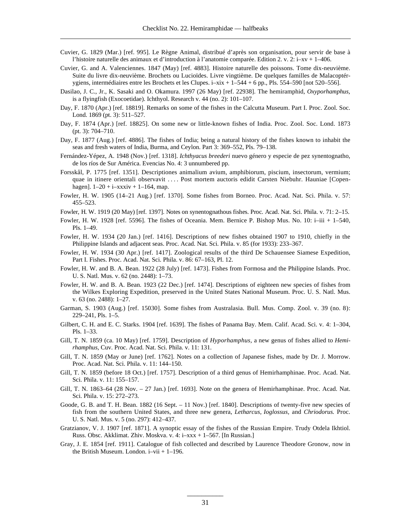- Cuvier, G. 1829 (Mar.) [ref. 995]. Le Règne Animal, distribué d'après son organisation, pour servir de base à l'histoire naturelle des animaux et d'introduction à l'anatomie comparée. Edition 2. v. 2: i–xv + 1–406.
- Cuvier, G. and A. Valenciennes. 1847 (May) [ref. 4883]. Histoire naturelle des poissons. Tome dix-neuvième. Suite du livre dix-neuvième. Brochets ou Lucioïdes. Livre vingtième. De quelques familles de Malacoptérygiens, intermédiaires entre les Brochets et les Clupes. i–xix + 1–544 + 6 pp., Pls. 554–590 [not 520–556].
- Dasilao, J. C., Jr., K. Sasaki and O. Okamura. 1997 (26 May) [ref. 22938]. The hemiramphid, *Oxyporhamphus,* is a flyingfish (Exocoetidae). Ichthyol. Research v. 44 (no. 2): 101–107.
- Day, F. 1870 (Apr.) [ref. 18819]. Remarks on some of the fishes in the Calcutta Museum. Part I. Proc. Zool. Soc. Lond. 1869 (pt. 3): 511–527.
- Day, F. 1874 (Apr.) [ref. 18825]. On some new or little-known fishes of India. Proc. Zool. Soc. Lond. 1873 (pt. 3): 704–710.
- Day, F. 1877 (Aug.) [ref. 4886]. The fishes of India; being a natural history of the fishes known to inhabit the seas and fresh waters of India, Burma, and Ceylon. Part 3: 369–552, Pls. 79–138.
- Fernández-Yépez, A. 1948 (Nov.) [ref. 1318]. *Ichthyacus breederi* nuevo género y especie de pez synentognatho, de los ríos de Sur América. Evencias No. 4: 3 unnumbered pp.
- Forsskål, P. 1775 [ref. 1351]. Descriptiones animalium avium, amphibiorum, piscium, insectorum, vermium; quae in itinere orientali observavit .... Post mortem auctoris edidit Carsten Niebuhr. Hauniae [Copenhagen].  $1-20 + i-xxxiv + 1-164$ , map.
- Fowler, H. W. 1905 (14–21 Aug.) [ref. 1370]. Some fishes from Borneo. Proc. Acad. Nat. Sci. Phila. v. 57: 455–523.
- Fowler, H. W. 1919 (20 May) [ref. 1397]. Notes on synentognathous fishes. Proc. Acad. Nat. Sci. Phila. v. 71: 2–15.
- Fowler, H. W. 1928 [ref. 5596]. The fishes of Oceania. Mem. Bernice P. Bishop Mus. No. 10: i–iii + 1–540, Pls. 1–49.
- Fowler, H. W. 1934 (20 Jan.) [ref. 1416]. Descriptions of new fishes obtained 1907 to 1910, chiefly in the Philippine Islands and adjacent seas. Proc. Acad. Nat. Sci. Phila. v. 85 (for 1933): 233–367.
- Fowler, H. W. 1934 (30 Apr.) [ref. 1417]. Zoological results of the third De Schauensee Siamese Expedition, Part I. Fishes. Proc. Acad. Nat. Sci. Phila. v. 86: 67–163, Pl. 12.
- Fowler, H. W. and B. A. Bean. 1922 (28 July) [ref. 1473]. Fishes from Formosa and the Philippine Islands. Proc. U. S. Natl. Mus. v. 62 (no. 2448): 1–73.
- Fowler, H. W. and B. A. Bean. 1923 (22 Dec.) [ref. 1474]. Descriptions of eighteen new species of fishes from the Wilkes Exploring Expedition, preserved in the United States National Museum. Proc. U. S. Natl. Mus. v. 63 (no. 2488): 1–27.
- Garman, S. 1903 (Aug.) [ref. 15030]. Some fishes from Australasia. Bull. Mus. Comp. Zool. v. 39 (no. 8): 229–241, Pls. 1–5.
- Gilbert, C. H. and E. C. Starks. 1904 [ref. 1639]. The fishes of Panama Bay. Mem. Calif. Acad. Sci. v. 4: 1–304, Pls. 1–33.
- Gill, T. N. 1859 (ca. 10 May) [ref. 1759]. Description of *Hyporhamphus,* a new genus of fishes allied to *Hemirhamphus,* Cuv. Proc. Acad. Nat. Sci. Phila. v. 11: 131.
- Gill, T. N. 1859 (May or June) [ref. 1762]. Notes on a collection of Japanese fishes, made by Dr. J. Morrow. Proc. Acad. Nat. Sci. Phila. v. 11: 144–150.
- Gill, T. N. 1859 (before 18 Oct.) [ref. 1757]. Description of a third genus of Hemirhamphinae. Proc. Acad. Nat. Sci. Phila. v. 11: 155–157.
- Gill, T. N. 1863–64 (28 Nov. 27 Jan.) [ref. 1693]. Note on the genera of Hemirhamphinae. Proc. Acad. Nat. Sci. Phila. v. 15: 272–273.
- Goode, G. B. and T. H. Bean. 1882 (16 Sept. 11 Nov.) [ref. 1840]. Descriptions of twenty-five new species of fish from the southern United States, and three new genera, *Letharcus, Ioglossus,* and *Chriodorus.* Proc. U. S. Natl. Mus. v. 5 (no. 297): 412–437.
- Gratzianov, V. J. 1907 [ref. 1871]. A synoptic essay of the fishes of the Russian Empire. Trudy Otdela Ikhtiol. Russ. Obsc. Akklimat. Zhiv. Moskva. v. 4: i–xxx + 1–567. [In Russian.]
- Gray, J. E. 1854 [ref. 1911]. Catalogue of fish collected and described by Laurence Theodore Gronow, now in the British Museum. London. i–vii + 1–196.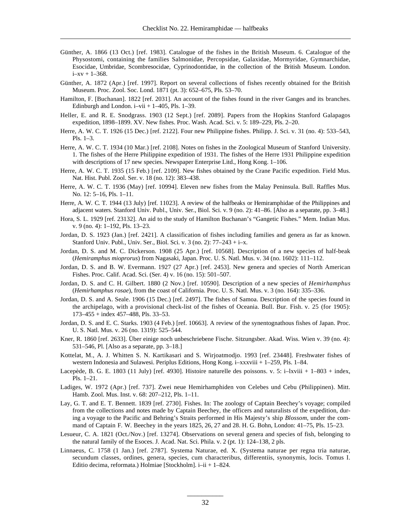- Günther, A. 1866 (13 Oct.) [ref. 1983]. Catalogue of the fishes in the British Museum. 6. Catalogue of the Physostomi, containing the families Salmonidae, Percopsidae, Galaxidae, Mormyridae, Gymnarchidae, Esocidae, Umbridae, Scombresocidae, Cyprinodontidae, in the collection of the British Museum. London.  $i - xv + 1 - 368.$
- Günther, A. 1872 (Apr.) [ref. 1997]. Report on several collections of fishes recently obtained for the British Museum. Proc. Zool. Soc. Lond. 1871 (pt. 3): 652–675, Pls. 53–70.
- Hamilton, F. [Buchanan]. 1822 [ref. 2031]. An account of the fishes found in the river Ganges and its branches. Edinburgh and London.  $i$ –vi $i$  + 1–405, Pls. 1–39.
- Heller, E. and R. E. Snodgrass. 1903 (12 Sept.) [ref. 2089]. Papers from the Hopkins Stanford Galapagos expedition, 1898–1899. XV. New fishes. Proc. Wash. Acad. Sci. v. 5: 189–229, Pls. 2–20.
- Herre, A. W. C. T. 1926 (15 Dec.) [ref. 2122]. Four new Philippine fishes. Philipp. J. Sci. v. 31 (no. 4): 533–543, Pls. 1–3.
- Herre, A. W. C. T. 1934 (10 Mar.) [ref. 2108]. Notes on fishes in the Zoological Museum of Stanford University. 1. The fishes of the Herre Philippine expedition of 1931. The fishes of the Herre 1931 Philippine expedition with descriptions of 17 new species. Newspaper Enterprise Litd., Hong Kong. 1–106.
- Herre, A. W. C. T. 1935 (15 Feb.) [ref. 2109]. New fishes obtained by the Crane Pacific expedition. Field Mus. Nat. Hist. Publ. Zool. Ser. v. 18 (no. 12): 383–438.
- Herre, A. W. C. T. 1936 (May) [ref. 10994]. Eleven new fishes from the Malay Peninsula. Bull. Raffles Mus. No. 12: 5–16, Pls. 1–11.
- Herre, A. W. C. T. 1944 (13 July) [ref. 11023]. A review of the halfbeaks or Hemiramphidae of the Philippines and adjacent waters. Stanford Univ. Publ., Univ. Ser., Biol. Sci. v. 9 (no. 2): 41–86. [Also as a separate, pp. 3–48.]
- Hora, S. L. 1929 [ref. 23132]. An aid to the study of Hamilton Buchanan's "Gangetic Fishes." Mem. Indian Mus. v. 9 (no. 4): 1–192, Pls. 13–23.
- Jordan, D. S. 1923 (Jan.) [ref. 2421]. A classification of fishes including families and genera as far as known. Stanford Univ. Publ., Univ. Ser., Biol. Sci. v. 3 (no. 2): 77–243 + i–x.
- Jordan, D. S. and M. C. Dickerson. 1908 (25 Apr.) [ref. 10568]. Description of a new species of half-beak (*Hemiramphus mioprorus*) from Nagasaki, Japan. Proc. U. S. Natl. Mus. v. 34 (no. 1602): 111–112.
- Jordan, D. S. and B. W. Evermann. 1927 (27 Apr.) [ref. 2453]. New genera and species of North American Fishes. Proc. Calif. Acad. Sci. (Ser. 4) v. 16 (no. 15): 501–507.
- Jordan, D. S. and C. H. Gilbert. 1880 (2 Nov.) [ref. 10590]. Description of a new species of *Hemirhamphus* (*Hemirhamphus rosae*), from the coast of California. Proc. U. S. Natl. Mus. v. 3 (no. 164): 335–336.
- Jordan, D. S. and A. Seale. 1906 (15 Dec.) [ref. 2497]. The fishes of Samoa. Description of the species found in the archipelago, with a provisional check-list of the fishes of Oceania. Bull. Bur. Fish. v. 25 (for 1905): 173–455 + index 457–488, Pls. 33–53.
- Jordan, D. S. and E. C. Starks. 1903 (4 Feb.) [ref. 10663]. A review of the synentognathous fishes of Japan. Proc. U. S. Natl. Mus. v. 26 (no. 1319): 525–544.
- Kner, R. 1860 [ref. 2633]. Über einige noch unbeschriebene Fische. Sitzungsber. Akad. Wiss. Wien v. 39 (no. 4): 531–546, Pl. [Also as a separate, pp. 3–18.]
- Kottelat, M., A. J. Whitten S. N. Kartikasari and S. Wirjoatmodjo. 1993 [ref. 23448]. Freshwater fishes of western Indonesia and Sulawesi. Periplus Editions, Hong Kong. i–xxxviii + 1–259, Pls. 1–84.
- Lacepède, B. G. E. 1803 (11 July) [ref. 4930]. Histoire naturelle des poissons. v. 5: i–lxviii + 1–803 + index, Pls. 1–21.
- Ladiges, W. 1972 (Apr.) [ref. 737]. Zwei neue Hemirhamphiden von Celebes und Cebu (Philippinen). Mitt. Hamb. Zool. Mus. Inst. v. 68: 207–212, Pls. 1–11.
- Lay, G. T. and E. T. Bennett. 1839 [ref. 2730]. Fishes. In: The zoology of Captain Beechey's voyage; compiled from the collections and notes made by Captain Beechey, the officers and naturalists of the expedition, during a voyage to the Pacific and Behring's Straits performed in His Majesty's ship *Blossom*, under the command of Captain F. W. Beechey in the years  $1825$ ,  $26$ ,  $27$  and  $28$ . H. G. Bohn, London:  $41-75$ , Pls.  $15-23$ .
- Lesueur, C. A. 1821 (Oct./Nov.) [ref. 13274]. Observations on several genera and species of fish, belonging to the natural family of the Esoces. J. Acad. Nat. Sci. Phila. v. 2 (pt. 1): 124–138, 2 pls.
- Linnaeus, C. 1758 (1 Jan.) [ref. 2787]. Systema Naturae, ed. X. (Systema naturae per regna tria naturae, secundum classes, ordines, genera, species, cum characteribus, differentiis, synonymis, locis. Tomus I. Editio decima, reformata.) Holmiae [Stockholm]. i–ii + 1–824.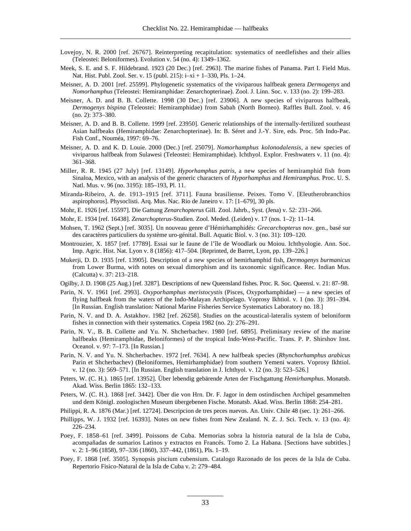- Lovejoy, N. R. 2000 [ref. 26767]. Reinterpreting recapitulation: systematics of needlefishes and their allies (Teleostei: Beloniformes). Evolution v. 54 (no. 4): 1349–1362.
- Meek, S. E. and S. F. Hildebrand. 1923 (20 Dec.) [ref. 2963]. The marine fishes of Panama. Part I. Field Mus. Nat. Hist. Publ. Zool. Ser. v. 15 (publ. 215): i–xi + 1–330, Pls. 1–24.
- Meisner, A. D. 2001 [ref. 25599]. Phylogenetic systematics of the viviparous halfbeak genera *Dermogenys* and *Nomorhamphus* (Teleostei: Hemiramphidae: Zenarchopterinae). Zool. J. Linn. Soc. v. 133 (no. 2): 199–283.
- Meisner, A. D. and B. B. Collette. 1998 (30 Dec.) [ref. 23906]. A new species of viviparous halfbeak, *Dermogenys bispina* (Teleostei: Hemiramphidae) from Sabah (North Borneo). Raffles Bull. Zool. v. 4 6 (no. 2): 373–380.
- Meisner, A. D. and B. B. Collette. 1999 [ref. 23950]. Generic relationships of the internally-fertilized southeast Asian halfbeaks (Hemiramphidae: Zenarchopterinae). In: B. Séret and J.-Y. Sire, eds. Proc. 5th Indo-Pac. Fish Conf., Nouméa, 1997: 69–76.
- Meisner, A. D. and K. D. Louie. 2000 (Dec.) [ref. 25079]. *Nomorhamphus kolonodalensis,* a new species of viviparous halfbeak from Sulawesi (Teleostei: Hemiramphidae). Ichthyol. Explor. Freshwaters v. 11 (no. 4): 361–368.
- Miller, R. R. 1945 (27 July) [ref. 13149]. *Hyporhamphus patris,* a new species of hemiramphid fish from Sinaloa, Mexico, with an analysis of the generic characters of *Hyporhamphus* and *Hemiramphus.* Proc. U. S. Natl. Mus. v. 96 (no. 3195): 185–193, Pl. 11.
- Miranda-Ribeiro, A. de. 1913–1915 [ref. 3711]. Fauna brasiliense. Peixes. Tomo V. [Eleutherobranchios aspirophoros]. Physoclisti. Arq. Mus. Nac. Rio de Janeiro v. 17: [1–679], 30 pls.
- Mohr, E. 1926 [ref. 15597]. Die Gattung *Zenarchopterus* Gill. Zool. Jahrb., Syst. (Jena) v. 52: 231–266.
- Mohr, E. 1934 [ref. 16438]. *Zenarchopterus*-Studien. Zool. Meded. (Leiden) v. 17 (nos. 1–2): 11–14.
- Mohsen, T. 1962 (Sept.) [ref. 3035]. Un nouveau genre d'Hémirhamphidés: *Grecarchopterus* nov. gen., basé sur des caractères particuliers du système uro-génital. Bull. Aquatic Biol. v. 3 (no. 31): 109–120.
- Montrouzier, X. 1857 [ref. 17789]. Essai sur le faune de l'île de Woodlark ou Moiou. Ichthyologie. Ann. Soc. Imp. Agric. Hist. Nat. Lyon v. 8 (1856): 417–504. [Reprinted, de Barret, Lyon, pp. 139–226.]
- Mukerji, D. D. 1935 [ref. 13905]. Description of a new species of hemirhamphid fish, *Dermogenys burmanicus* from Lower Burma, with notes on sexual dimorphism and its taxonomic significance. Rec. Indian Mus. (Calcutta) v. 37: 213–218.
- Ogilby, J. D. 1908 (25 Aug.) [ref. 3287]. Descriptions of new Queensland fishes. Proc. R. Soc. Queensl. v. 21: 87-98.
- Parin, N. V. 1961 [ref. 2993]. *Oxyporhamphus meristocystis* (Pisces, Oxyporhamphidae) a new species of flying halfbeak from the waters of the Indo-Malayan Archipelago. Voprosy Ikhtiol. v. 1 (no. 3): 391–394. [In Russian. English translation: National Marine Fisheries Service Systematics Laboratory no. 18.]
- Parin, N. V. and D. A. Astakhov. 1982 [ref. 26258]. Studies on the acoustical-lateralis system of beloniform fishes in connection with their systematics. Copeia 1982 (no. 2): 276–291.
- Parin, N. V., B. B. Collette and Yu. N. Shcherbachev. 1980 [ref. 6895]. Preliminary review of the marine halfbeaks (Hemiramphidae, Beloniformes) of the tropical Indo-West-Pacific. Trans. P. P. Shirshov Inst. Oceanol. v. 97: 7–173. [In Russian.]
- Parin, N. V. and Yu. N. Shcherbachev. 1972 [ref. 7634]. A new halfbeak species (*Rhynchorhamphus arabicus* Parin et Shcherbachev) (Beloniformes, Hemirhamphidae) from southern Yemeni waters. Voprosy Ikhtiol. v. 12 (no. 3): 569–571. [In Russian. English translation in J. Ichthyol. v. 12 (no. 3): 523–526.]
- Peters, W. (C. H.). 1865 [ref. 13952]. Über lebendig gebärende Arten der Fischgattung *Hemirhamphus.* Monatsb. Akad. Wiss. Berlin 1865: 132–133.
- Peters, W. (C. H.). 1868 [ref. 3442]. Über die von Hrn. Dr. F. Jagor in dem ostindischen Archipel gesammelten und dem Königl. zoologischen Museum übergebenen Fische. Monatsb. Akad. Wiss. Berlin 1868: 254–281.
- Philippi, R. A. 1876 (Mar.) [ref. 12724]. Descripcion de tres peces nuevos. An. Univ. Chile 48 (sec. 1): 261–266.
- Phillipps, W. J. 1932 [ref. 16393]. Notes on new fishes from New Zealand. N. Z. J. Sci. Tech. v. 13 (no. 4): 226–234.
- Poey, F. 1858–61 [ref. 3499]. Poissons de Cuba. Memorias sobra la historia natural de la Isla de Cuba, acompañadas de sumarios Latinos y extractos en Francés. Tomo 2. La Habana. [Sections have subtitles.] v. 2: 1–96 (1858), 97–336 (1860), 337–442, (1861), Pls. 1–19.
- Poey, F. 1868 [ref. 3505]. Synopsis piscium cubensium. Catalogo Razonado de los peces de la Isla de Cuba. Repertorio Fisico-Natural de la Isla de Cuba v. 2: 279–484.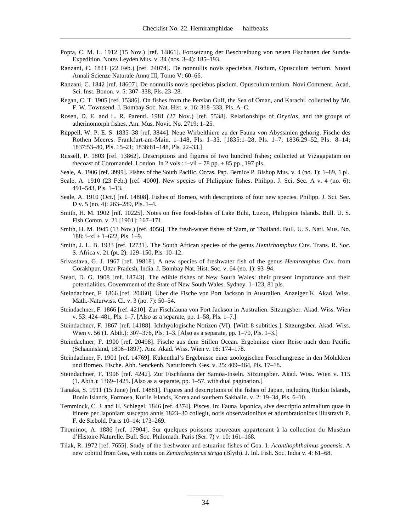- Popta, C. M. L. 1912 (15 Nov.) [ref. 14861]. Fortsetzung der Beschreibung von neuen Fischarten der Sunda-Expedition. Notes Leyden Mus. v. 34 (nos. 3–4): 185–193.
- Ranzani, C. 1841 (22 Feb.) [ref. 24074]. De nonnullis novis speciebus Piscium, Opusculum tertium. Nuovi Annali Scienze Naturale Anno III, Tomo V: 60–66.
- Ranzani, C. 1842 [ref. 18607]. De nonnullis novis speciebus piscium. Opusculum tertium. Novi Comment. Acad. Sci. Inst. Bonon. v. 5: 307–338, Pls. 23–28.
- Regan, C. T. 1905 [ref. 15386]. On fishes from the Persian Gulf, the Sea of Oman, and Karachi, collected by Mr. F. W. Townsend. J. Bombay Soc. Nat. Hist. v. 16: 318–333, Pls. A–C.
- Rosen, D. E. and L. R. Parenti. 1981 (27 Nov.) [ref. 5538]. Relationships of *Oryzias,* and the groups of atherinomorph fishes. Am. Mus. Novit. No. 2719: 1–25.
- Rüppell, W. P. E. S. 1835–38 [ref. 3844]. Neue Wirbelthiere zu der Fauna von Abyssinien gehörig. Fische des Rothen Meeres. Frankfurt-am-Main. 1–148, Pls. 1–33. [1835:1–28, Pls. 1–7; 1836:29–52, Pls. 8–14; 1837:53–80, Pls. 15–21; 1838:81–148, Pls. 22–33.]
- Russell, P. 1803 [ref. 13862]. Descriptions and figures of two hundred fishes; collected at Vizagapatam on thecoast of Coromandel. London. In 2 vols.: i–vii + 78 pp. + 85 pp., 197 pls.
- Seale, A. 1906 [ref. 3999]. Fishes of the South Pacific. Occas. Pap. Bernice P. Bishop Mus. v. 4 (no. 1): 1–89, 1 pl.
- Seale, A. 1910 (23 Feb.) [ref. 4000]. New species of Philippine fishes. Philipp. J. Sci. Sec. A v. 4 (no. 6): 491–543, Pls. 1–13.
- Seale, A. 1910 (Oct.) [ref. 14808]. Fishes of Borneo, with descriptions of four new species. Philipp. J. Sci. Sec. D v. 5 (no. 4): 263–289, Pls. 1–4.
- Smith, H. M. 1902 [ref. 10225]. Notes on five food-fishes of Lake Buhi, Luzon, Philippine Islands. Bull. U. S. Fish Comm. v. 21 [1901]: 167–171.
- Smith, H. M. 1945 (13 Nov.) [ref. 4056]. The fresh-water fishes of Siam, or Thailand. Bull. U. S. Natl. Mus. No. 188: i–xi + 1–622, Pls. 1–9.
- Smith, J. L. B. 1933 [ref. 12731]. The South African species of the genus *Hemirhamphus* Cuv. Trans. R. Soc. S. Africa v. 21 (pt. 2): 129–150, Pls. 10–12.
- Srivastava, G. J. 1967 [ref. 19818]. A new species of freshwater fish of the genus *Hemiramphus* Cuv. from Gorakhpur, Uttar Pradesh, India. J. Bombay Nat. Hist. Soc. v. 64 (no. 1): 93–94.
- Stead, D. G. 1908 [ref. 18743]. The edible fishes of New South Wales: their present importance and their potentialities. Government of the State of New South Wales. Sydney. 1–123, 81 pls.
- Steindachner, F. 1866 [ref. 20460]. Über die Fische von Port Jackson in Australien. Anzeiger K. Akad. Wiss. Math.-Naturwiss. Cl. v. 3 (no. 7): 50–54.
- Steindachner, F. 1866 [ref. 4210]. Zur Fischfauna von Port Jackson in Australien. Sitzungsber. Akad. Wiss. Wien v. 53: 424–481, Pls. 1–7. [Also as a separate, pp. 1–58, Pls. 1–7.]
- Steindachner, F. 1867 [ref. 14188]. Ichthyologische Notizen (VI). [With 8 subtitles.]. Sitzungsber. Akad. Wiss. Wien v. 56 (1. Abth.): 307–376, Pls. 1–3. [Also as a separate, pp. 1–70, Pls. 1–3.]
- Steindachner, F. 1900 [ref. 20498]. Fische aus dem Stillen Ocean. Ergebnisse einer Reise nach dem Pacific (Schauinsland, 1896–1897). Anz. Akad. Wiss. Wien v. 16: 174–178.
- Steindachner, F. 1901 [ref. 14769]. Kükenthal's Ergebnisse einer zoologischen Forschungreise in den Molukken und Borneo. Fische. Abh. Senckenb. Naturforsch. Ges. v. 25: 409–464, Pls. 17–18.
- Steindachner, F. 1906 [ref. 4242]. Zur Fischfauna der Samoa-Inseln. Sitzungsber. Akad. Wiss. Wien v. 115 (1. Abth.): 1369–1425. [Also as a separate, pp. 1–57, with dual pagination.]
- Tanaka, S. 1911 (15 June) [ref. 14881]. Figures and descriptions of the fishes of Japan, including Riukiu Islands, Bonin Islands, Formosa, Kurile Islands, Korea and southern Sakhalin. v. 2: 19–34, Pls. 6–10.
- Temminck, C. J. and H. Schlegel. 1846 [ref. 4374]. Pisces. In: Fauna Japonica, sive descriptio animalium quae in itinere per Japoniam suscepto annis 1823–30 collegit, notis observationibus et adumbrationibus illustravit P. F. de Siebold. Parts 10–14: 173–269.
- Thominot, A. 1886 [ref. 17904]. Sur quelques poissons nouveaux appartenant à la collection du Muséum d'Histoire Naturelle. Bull. Soc. Philomath. Paris (Ser. 7) v. 10: 161–168.
- Tilak, R. 1972 [ref. 7655]. Study of the freshwater and estuarine fishes of Goa. 1. *Acanthophthalmus goaensis.* A new cobitid from Goa, with notes on *Zenarchopterus striga* (Blyth). J. Inl. Fish. Soc. India v. 4: 61–68.